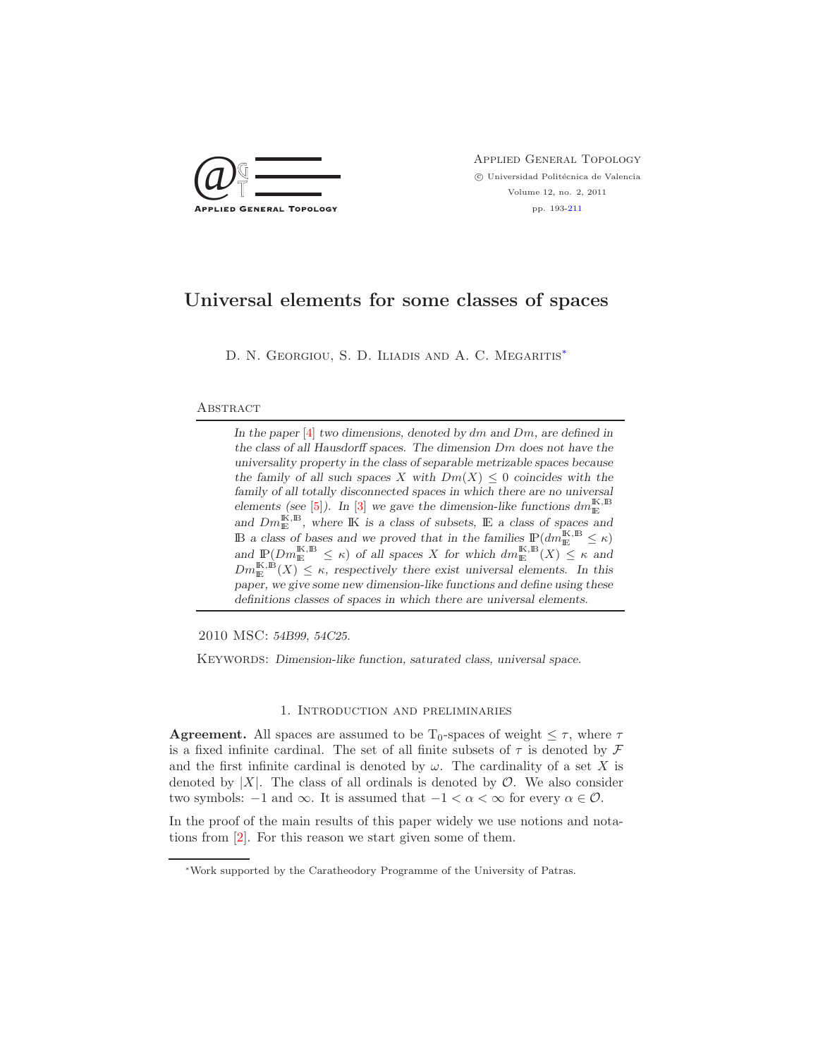

Applied General Topology  $\odot$  Universidad Politécnica de Valencia Volume 12, no. 2, 2011 pp. 193[-211](#page-18-0)

# Universal elements for some classes of spaces

D. N. GEORGIOU, S. D. ILIADIS AND A. C. MEGARITIS<sup>\*</sup>

## **ABSTRACT**

In the paper  $[4]$  two dimensions, denoted by dm and  $Dm$ , are defined in the class of all Hausdorff spaces. The dimension Dm does not have the universality property in the class of separable metrizable spaces because the family of all such spaces X with  $Dm(X) \leq 0$  coincides with the family of all totally disconnected spaces in which there are no universal elements (see [\[5\]](#page-18-2)). In [\[3\]](#page-18-3) we gave the dimension-like functions  $dm_{\mathbb{E}}^{\mathbb{K},\mathbb{B}}$ and  $Dm_{\mathbb{E}}^{\mathbb{K},\mathbb{B}},$  where  $\mathbb K$  is a class of subsets,  $\mathbb E$  a class of spaces and **IB** a class of bases and we proved that in the families  $\mathbb{P}(dm_{\mathbb{E}}^{K,\mathbb{B}} \leq \kappa)$ and  $\mathbb{P}(Dm_{\mathbb{E}}^{\mathbb{K},\mathbb{B}} \leq \kappa)$  of all spaces X for which  $dm_{\mathbb{E}}^{\mathbb{K},\mathbb{B}}(X) \leq \kappa$  and  $Dm_{\mathbb{E}}^{\mathbb{K},\mathbb{B}}(X) \leq \kappa$ , respectively there exist universal elements. In this paper, we give some new dimension-like functions and define using these definitions classes of spaces in which there are universal elements.

2010 MSC: 54B99, 54C25.

KEYWORDS: Dimension-like function, saturated class, universal space.

## 1. Introduction and preliminaries

**Agreement.** All spaces are assumed to be T<sub>0</sub>-spaces of weight  $\leq \tau$ , where  $\tau$ is a fixed infinite cardinal. The set of all finite subsets of  $\tau$  is denoted by  $\mathcal F$ and the first infinite cardinal is denoted by  $\omega$ . The cardinality of a set X is denoted by  $|X|$ . The class of all ordinals is denoted by  $\mathcal{O}$ . We also consider two symbols:  $-1$  and  $\infty$ . It is assumed that  $-1 < \alpha < \infty$  for every  $\alpha \in \mathcal{O}$ .

In the proof of the main results of this paper widely we use notions and notations from [\[2\]](#page-18-4). For this reason we start given some of them.

<span id="page-0-0"></span><sup>∗</sup>Work supported by the Caratheodory Programme of the University of Patras.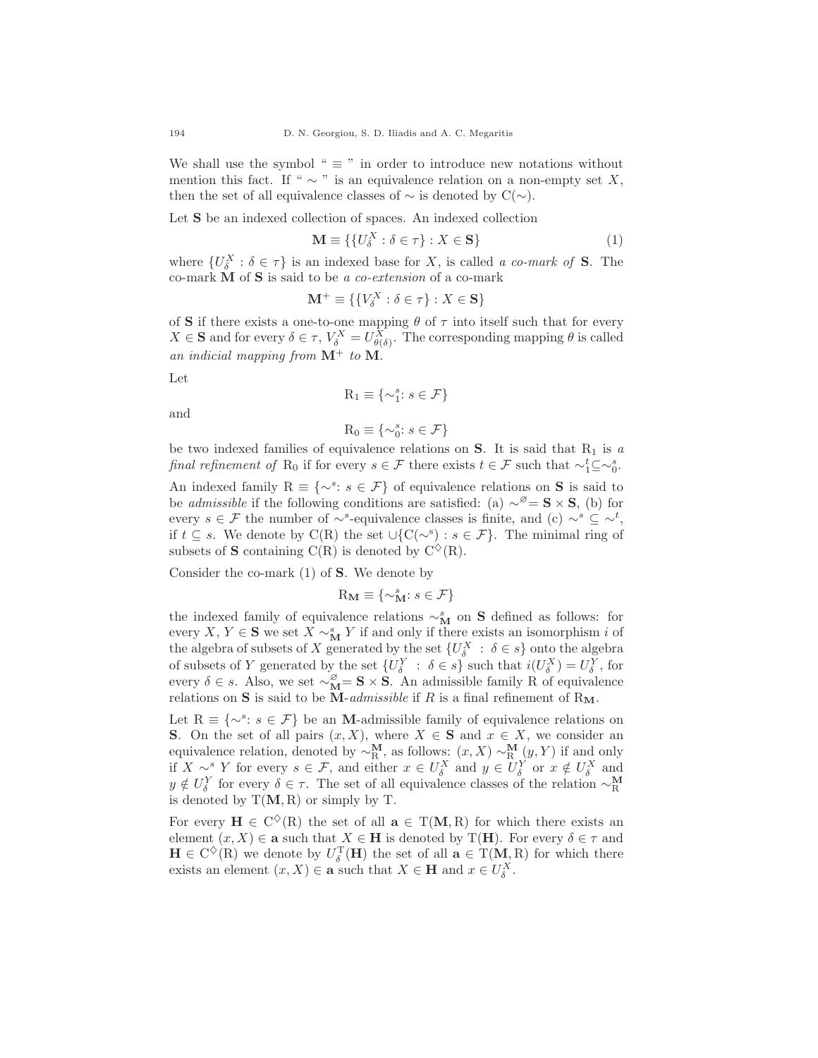We shall use the symbol "  $\equiv$  " in order to introduce new notations without mention this fact. If "  $\sim$  " is an equivalence relation on a non-empty set X, then the set of all equivalence classes of  $\sim$  is denoted by C( $\sim$ ).

Let S be an indexed collection of spaces. An indexed collection

$$
\mathbf{M} \equiv \{ \{ U_{\delta}^X : \delta \in \tau \} : X \in \mathbf{S} \}
$$
 (1)

where  $\{U^X_\delta : \delta \in \tau\}$  is an indexed base for X, is called a co-mark of S. The co-mark  $\tilde{M}$  of  $S$  is said to be a co-extension of a co-mark

$$
\mathbf{M}^+ \equiv \{ \{ V^X_\delta : \delta \in \tau \} : X \in \mathbf{S} \}
$$

of S if there exists a one-to-one mapping  $\theta$  of  $\tau$  into itself such that for every  $X \in \mathbf{S}$  and for every  $\delta \in \tau$ ,  $V_{\delta}^X = U_{\theta(\delta)}^X$ . The corresponding mapping  $\theta$  is called an indicial mapping from  $M^+$  to M.

Let

$$
\mathcal{R}_1 \equiv \{ \sim_1^s : s \in \mathcal{F} \}
$$

and

$$
\mathcal{R}_0 \equiv \{ \sim_0^s : s \in \mathcal{F} \}
$$

be two indexed families of equivalence relations on  $S$ . It is said that  $R_1$  is a final refinement of R<sub>0</sub> if for every  $s \in \mathcal{F}$  there exists  $t \in \mathcal{F}$  such that  $\sim_1^t \subseteq \sim_0^s$ .

An indexed family  $R \equiv \{ \sim^s : s \in \mathcal{F} \}$  of equivalence relations on S is said to be admissible if the following conditions are satisfied: (a)  $\sim^{\varnothing} = S \times S$ , (b) for every  $s \in \mathcal{F}$  the number of ∼<sup>s</sup>-equivalence classes is finite, and (c)  $\sim^s \subseteq \sim^t$ , if  $t \subseteq s$ . We denote by C(R) the set  $\cup$ {C(∼<sup>s</sup>) :  $s \in \mathcal{F}$ }. The minimal ring of subsets of **S** containing  $C(R)$  is denoted by  $C^{\diamond}(R)$ .

Consider the co-mark (1) of S. We denote by

$$
\mathbf{R}_{\mathbf{M}} \equiv \{ \sim_{\mathbf{M}}^s : s \in \mathcal{F} \}
$$

the indexed family of equivalence relations  $\sim_M^s$  on S defined as follows: for every X,  $Y \in \mathbf{S}$  we set  $X \sim_M^s Y$  if and only if there exists an isomorphism i of the algebra of subsets of X generated by the set  $\{U^X_\delta : \delta \in s\}$  onto the algebra of subsets of Y generated by the set  $\{U^Y_\delta : \delta \in s\}$  such that  $i(U^X_\delta) = U^Y_\delta$ , for every  $\delta \in s$ . Also, we set  $\sim_M^{\mathcal{B}} = \mathbf{S} \times \mathbf{S}$ . An admissible family R of equivalence relations on S is said to be M-*admissible* if R is a final refinement of  $R_M$ .

Let R  $\equiv \{\sim^s: s \in \mathcal{F}\}\$ be an M-admissible family of equivalence relations on S. On the set of all pairs  $(x, X)$ , where  $X \in S$  and  $x \in X$ , we consider an equivalence relation, denoted by  $\sim_R^{\mathbf{M}}$ , as follows:  $(x, X) \sim_R^{\mathbf{M}}(y, Y)$  if and only if X ∼<sup>s</sup> Y for every  $s \in \mathcal{F}$ , and either  $x \in U_{\delta}^X$  and  $y \in U_{\delta}^Y$  or  $x \notin U_{\delta}^X$  and  $y \notin U_{\delta}^Y$  for every  $\delta \in \tau$ . The set of all equivalence classes of the relation  $\sim_R^{\mathbf{M}}$ is denoted by  $T(M, R)$  or simply by T.

For every  $H \in C^{\diamond}(R)$  the set of all  $a \in T(M, R)$  for which there exists an element  $(x, X) \in \mathbf{a}$  such that  $X \in \mathbf{H}$  is denoted by T(H). For every  $\delta \in \tau$  and  $\mathbf{H} \in \mathrm{C}^{\diamond}(R)$  we denote by  $U_{\delta}^{\mathrm{T}}(\mathbf{H})$  the set of all  $\mathbf{a} \in \mathrm{T}(\mathbf{M}, R)$  for which there exists an element  $(x, X) \in \mathbf{a}$  such that  $X \in \mathbf{H}$  and  $x \in U_{\delta}^X$ .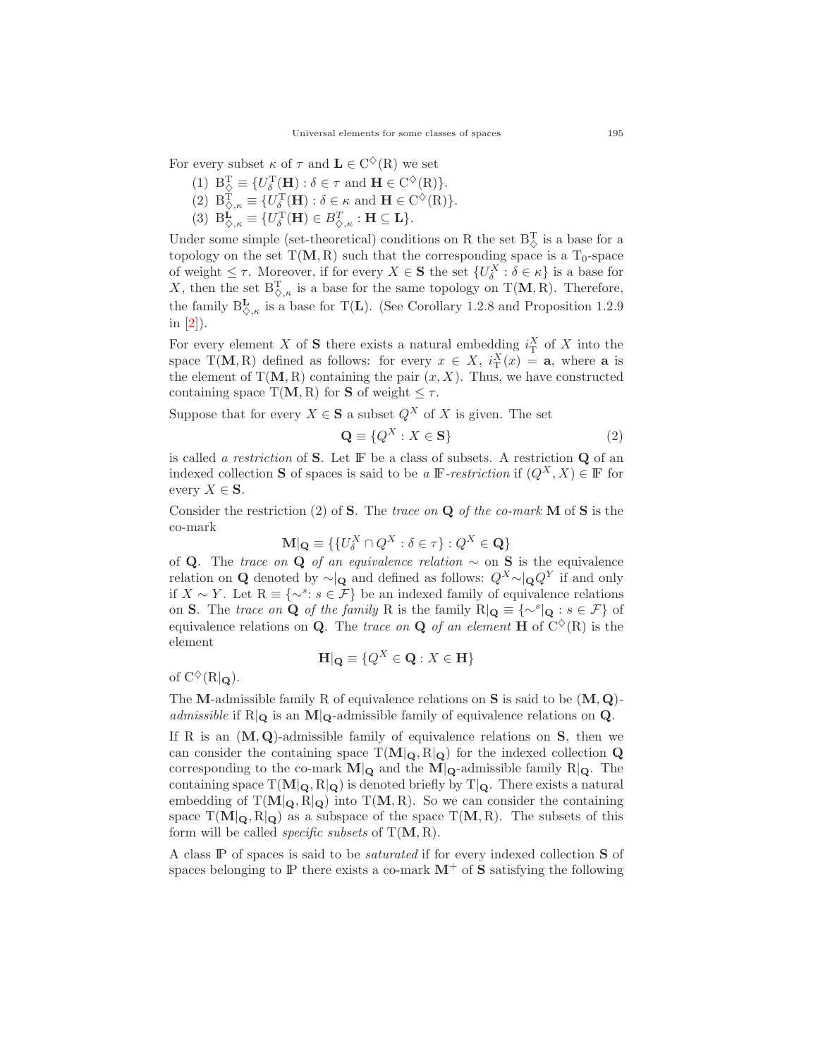For every subset  $\kappa$  of  $\tau$  and  $\mathbf{L} \in C^{\diamondsuit}(\mathbb{R})$  we set

- (1)  $B_{\diamondsuit}^T \equiv \{ U_{\delta}^T(H) : \delta \in \tau \text{ and } H \in C^{\diamondsuit}(R) \}.$
- (2)  $B_{\diamondsuit,\kappa}^T \equiv \{U_{\delta}^T(H) : \delta \in \kappa \text{ and } H \in C^{\diamondsuit}(R)\}.$
- (3)  $B_{\diamondsuit,\kappa}^{\mathbf{L}} \equiv \{U_{\delta}^{\mathrm{T}}(\mathbf{H}) \in B_{\diamondsuit,\kappa}^{\mathrm{T}} : \mathbf{H} \subseteq \mathbf{L}\}.$

Under some simple (set-theoretical) conditions on R the set  $B^T_{\diamondsuit}$  is a base for a topology on the set  $T(M, R)$  such that the corresponding space is a  $T_0$ -space of weight  $\leq \tau$ . Moreover, if for every  $X \in \mathbf{S}$  the set  $\{U_{\delta}^X : \delta \in \kappa\}$  is a base for X, then the set  $B_{\diamondsuit,\kappa}^T$  is a base for the same topology on T(M, R). Therefore, the family  $B_{\diamondsuit,\kappa}^{\mathbf{L}}$  is a base for T(**L**). (See Corollary 1.2.8 and Proposition 1.2.9 in  $[2]$ ).

For every element X of S there exists a natural embedding  $i_{\text{T}}^{X}$  of X into the space T(M, R) defined as follows: for every  $x \in X$ ,  $i_{\text{T}}^{X}(x) = \mathbf{a}$ , where  $\mathbf{a}$  is the element of  $T(M, R)$  containing the pair  $(x, X)$ . Thus, we have constructed containing space T(M, R) for S of weight  $\leq \tau$ .

Suppose that for every  $X \in \mathbf{S}$  a subset  $Q^X$  of X is given. The set

$$
\mathbf{Q} \equiv \{Q^X : X \in \mathbf{S}\}\tag{2}
$$

is called a restriction of  $S$ . Let  $F$  be a class of subsets. A restriction  $Q$  of an indexed collection S of spaces is said to be a F-restriction if  $(Q^X, X) \in \mathbb{F}$  for every  $X \in \mathbf{S}$ .

Consider the restriction (2) of **S**. The trace on **Q** of the co-mark **M** of **S** is the co-mark

$$
\mathbf{M}|\mathbf{Q} \equiv \{ \{ U_{\delta}^X \cap Q^X : \delta \in \tau \} : Q^X \in \mathbf{Q} \}
$$

of Q. The trace on Q of an equivalence relation  $\sim$  on S is the equivalence relation on Q denoted by  $\sim$ |<sub>Q</sub> and defined as follows:  $Q^X \sim$ |<sub>Q</sub> $Q^Y$  if and only if  $X \sim Y$ . Let  $R \equiv \{ \sim^s : s \in \mathcal{F} \}$  be an indexed family of equivalence relations on S. The trace on Q of the family R is the family  $R|_{\mathbf{Q}} \equiv \{ \sim^s |_{\mathbf{Q}} : s \in \mathcal{F} \}$  of equivalence relations on **Q**. The trace on **Q** of an element **H** of  $C^{\diamond}(R)$  is the element

$$
\mathbf{H}|_{\mathbf{Q}} \equiv \{Q^X \in \mathbf{Q} : X \in \mathbf{H}\}
$$

of  $C^{\diamondsuit}(R|_{\mathbf{Q}})$ .

The M-admissible family R of equivalence relations on S is said to be  $(M, Q)$ admissible if  $R|_{\mathbf{Q}}$  is an  $\mathbf{M}|_{\mathbf{Q}}$ -admissible family of equivalence relations on  $\mathbf{Q}$ .

If R is an  $(M, Q)$ -admissible family of equivalence relations on S, then we can consider the containing space  $T(M|_{\mathbf{Q}}, R|_{\mathbf{Q}})$  for the indexed collection  $\mathbf{Q}$ corresponding to the co-mark  $M|_Q$  and the  $M|_Q$ -admissible family  $R|_Q$ . The containing space  $T(M|_{\mathbf{Q}}, R|_{\mathbf{Q}})$  is denoted briefly by  $T|_{\mathbf{Q}}$ . There exists a natural embedding of  $T(M|_{\mathbf{Q}}, R|_{\mathbf{Q}})$  into  $T(M, R)$ . So we can consider the containing space  $T(M|_{\mathbf{Q}}, R|_{\mathbf{Q}})$  as a subspace of the space  $T(M, R)$ . The subsets of this form will be called *specific subsets* of  $T(M, R)$ .

A class IP of spaces is said to be saturated if for every indexed collection S of spaces belonging to  $\mathbb P$  there exists a co-mark  $\mathbf{M}^+$  of  $\mathbf S$  satisfying the following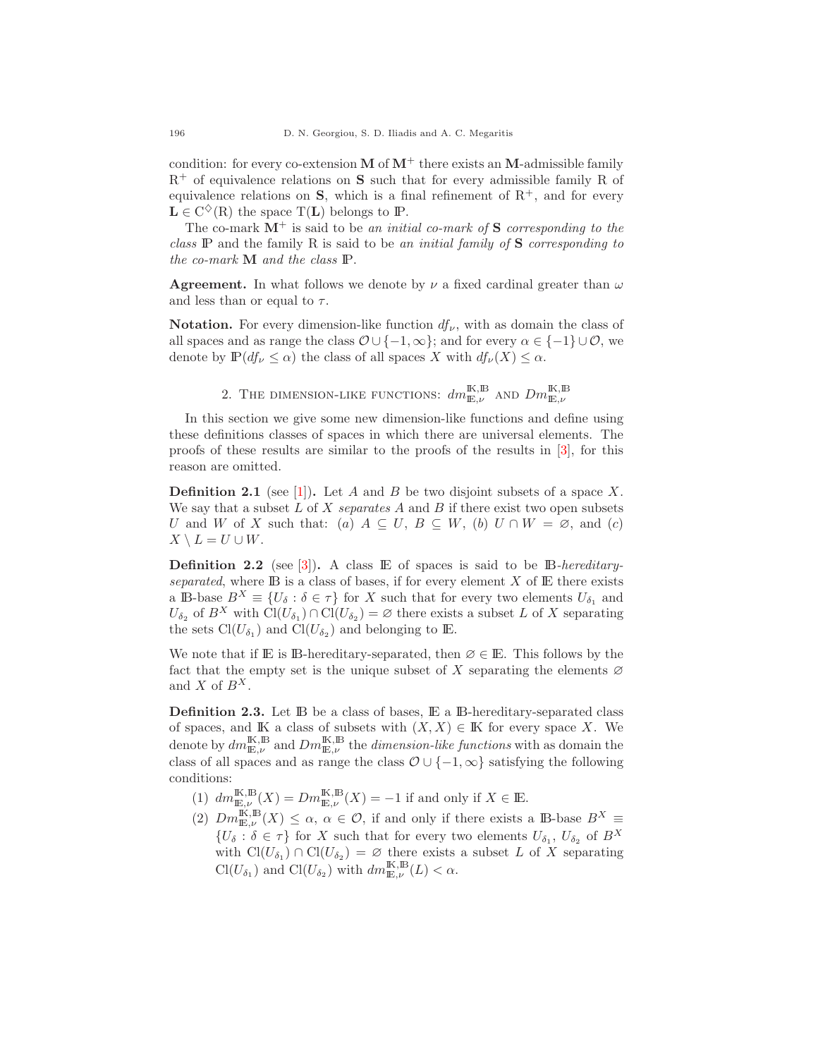condition: for every co-extension  $M$  of  $M^+$  there exists an M-admissible family  $R^+$  of equivalence relations on S such that for every admissible family R of equivalence relations on **S**, which is a final refinement of  $R^+$ , and for every  $\mathbf{L} \in C^{\diamondsuit}(\mathbb{R})$  the space  $T(\mathbf{L})$  belongs to  $\mathbb{P}$ .

The co-mark  $M^+$  is said to be an initial co-mark of S corresponding to the class IP and the family R is said to be an initial family of  $S$  corresponding to the co-mark M and the class IP.

**Agreement.** In what follows we denote by  $\nu$  a fixed cardinal greater than  $\omega$ and less than or equal to  $\tau$ .

**Notation.** For every dimension-like function  $df_{\nu}$ , with as domain the class of all spaces and as range the class  $\mathcal{O} \cup \{-1, \infty\}$ ; and for every  $\alpha \in \{-1\} \cup \mathcal{O}$ , we denote by  $\mathbb{P}(df_{\nu} \leq \alpha)$  the class of all spaces X with  $df_{\nu}(X) \leq \alpha$ .

2. THE DIMENSION-LIKE FUNCTIONS:  $dm_{\mathbb{E},\nu}^{\mathbb{K},\mathbb{B}}$  and  $Dm_{\mathbb{E},\nu}^{\mathbb{K},\mathbb{B}}$ 

In this section we give some new dimension-like functions and define using these definitions classes of spaces in which there are universal elements. The proofs of these results are similar to the proofs of the results in [\[3\]](#page-18-3), for this reason are omitted.

**Definition 2.1** (see [\[1\]](#page-18-5)). Let A and B be two disjoint subsets of a space X. We say that a subset  $L$  of  $X$  separates  $A$  and  $B$  if there exist two open subsets U and W of X such that: (a)  $A \subseteq U$ ,  $B \subseteq W$ , (b)  $U \cap W = \emptyset$ , and (c)  $X \setminus L = U \cup W$ .

**Definition 2.2** (see [\[3\]](#page-18-3)). A class  $E$  of spaces is said to be  $E$ -hereditaryseparated, where  $\mathbb B$  is a class of bases, if for every element X of  $\mathbb E$  there exists a B-base  $B^X \equiv \{U_\delta : \delta \in \tau\}$  for X such that for every two elements  $U_{\delta_1}$  and  $U_{\delta_2}$  of  $B^X$  with  $\text{Cl}(U_{\delta_1}) \cap \text{Cl}(U_{\delta_2}) = \varnothing$  there exists a subset L of X separating the sets  $Cl(U_{\delta_1})$  and  $Cl(U_{\delta_2})$  and belonging to E.

We note that if E is B-hereditary-separated, then  $\emptyset \in \mathbb{E}$ . This follows by the fact that the empty set is the unique subset of X separating the elements  $\varnothing$ and X of  $B^X$ .

Definition 2.3. Let IB be a class of bases, IE a IB-hereditary-separated class of spaces, and IK a class of subsets with  $(X, X) \in \mathbb{K}$  for every space X. We denote by  $dm_{\mathbb{E},\nu}^{\mathbb{K},\mathbb{B}}$  and  $Dm_{\mathbb{E},\nu}^{\mathbb{K},\mathbb{B}}$  the *dimension-like functions* with as domain the class of all spaces and as range the class  $\mathcal{O} \cup \{-1, \infty\}$  satisfying the following conditions:

- (1)  $dm_{\mathbb{E},\nu}^{\mathbb{K},\mathbb{B}}(X) = Dm_{\mathbb{E},\nu}^{\mathbb{K},\mathbb{B}}(X) = -1$  if and only if  $X \in \mathbb{E}$ .
- (2)  $Dm_{\mathbb{E},\nu}^{\mathbb{K},\mathbb{B}}(X) \leq \alpha, \alpha \in \mathcal{O}$ , if and only if there exists a B-base  $B^X \equiv$  $\{U_{\delta} : \delta \in \tau\}$  for X such that for every two elements  $U_{\delta_1}, U_{\delta_2}$  of  $B^X$ with  $Cl(U_{\delta_1}) \cap Cl(U_{\delta_2}) = \varnothing$  there exists a subset L of X separating Cl( $U_{\delta_1}$ ) and Cl( $U_{\delta_2}$ ) with  $dm_{\mathbb{E},\nu}^{\mathbb{K},\mathbb{B}}(L) < \alpha$ .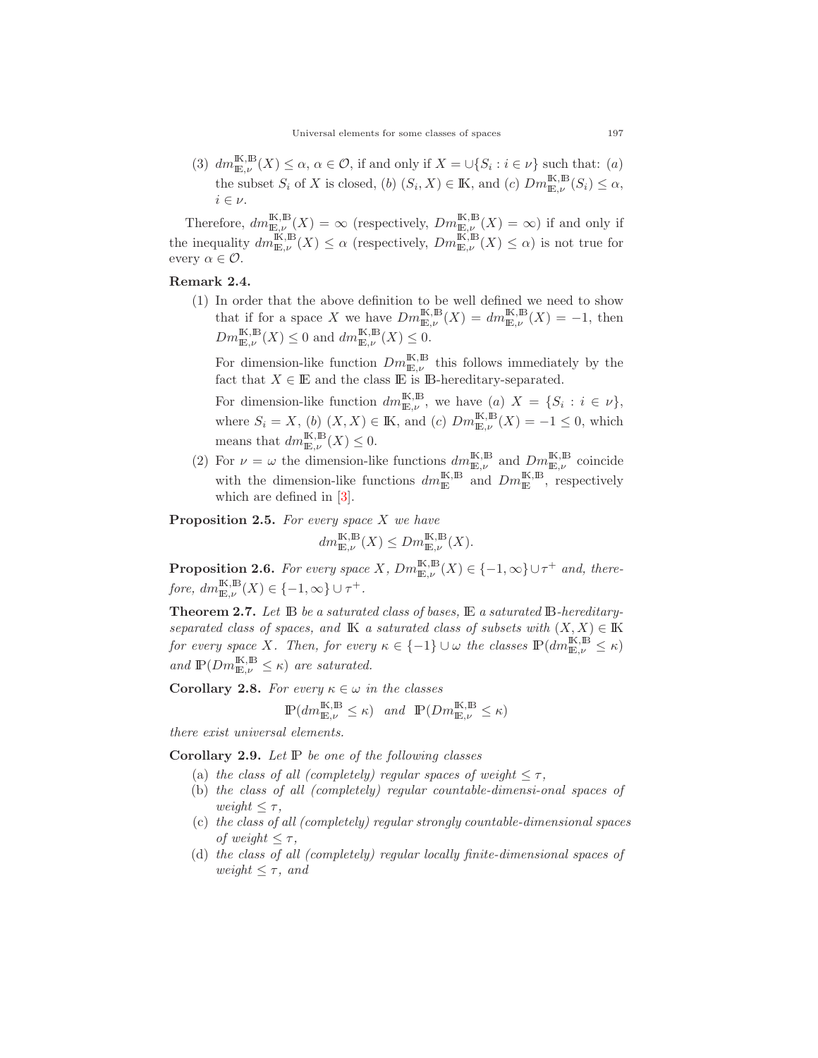(3)  $dm_{\mathbb{E},\nu}^{\mathbb{K},\mathbb{B}}(X) \leq \alpha, \alpha \in \mathcal{O}$ , if and only if  $X = \bigcup \{S_i : i \in \nu\}$  such that: (a) the subset  $S_i$  of X is closed, (b)  $(S_i, X) \in \mathbb{K}$ , and (c)  $Dm_{\mathbb{E},\nu}^{\mathbb{K},\mathbb{B}}(S_i) \leq \alpha$ ,  $i \in \nu$ .

Therefore,  $dm_{\mathbb{E},\nu}^{\mathbb{K},\mathbb{B}}(X) = \infty$  (respectively,  $Dm_{\mathbb{E},\nu}^{\mathbb{K},\mathbb{B}}(X) = \infty$ ) if and only if the inequality  $dm_{\mathbb{E},\nu}^{\mathbb{K},\mathbb{B}}(X) \leq \alpha$  (respectively,  $Dm_{\mathbb{E},\nu}^{\mathbb{K},\mathbb{B}}(X) \leq \alpha$ ) is not true for every  $\alpha \in \mathcal{O}$ .

## Remark 2.4.

(1) In order that the above definition to be well defined we need to show that if for a space X we have  $Dm_{\mathbb{E},\nu}^{\mathbb{K},\mathbb{B}}(X) = dm_{\mathbb{E},\nu}^{\mathbb{K},\mathbb{B}}(X) = -1$ , then  $Dm_{\mathbb{E},\nu}^{\mathbb{K},\mathbb{B}}(X) \leq 0$  and  $dm_{\mathbb{E},\nu}^{\mathbb{K},\mathbb{B}}(X) \leq 0$ .

For dimension-like function  $Dm_{\mathbb{E},\nu}^{\mathbb{K},\mathbb{B}}$  this follows immediately by the fact that  $X \in \mathbb{E}$  and the class  $\mathbb{E}$  is B-hereditary-separated.

For dimension-like function  $dm_{\mathbb{E},\nu}^{\mathbb{K},\mathbb{B}},$  we have  $(a)$   $X = \{S_i : i \in \nu\},$ where  $S_i = X$ , (b)  $(X, X) \in \mathbb{K}$ , and (c)  $Dm_{\mathbb{E}, \nu}^{\mathbb{K}, \mathbb{B}}(X) = -1 \leq 0$ , which means that  $dm_{\mathbb{E},\nu}^{\mathbb{K},\mathbb{B}}(X) \leq 0$ .

(2) For  $\nu = \omega$  the dimension-like functions  $dm_{\mathbb{E},\nu}^{\mathbb{K},\mathbb{B}}$  and  $Dm_{\mathbb{E},\nu}^{\mathbb{K},\mathbb{B}}$  coincide with the dimension-like functions  $dm_{\mathbb{E}}^{\mathbb{K},\mathbb{B}}$  and  $Dm_{\mathbb{E}}^{\mathbb{K},\mathbb{B}}$ , respectively which are defined in [\[3\]](#page-18-3).

**Proposition 2.5.** For every space  $X$  we have

$$
dm_{\mathbb{E},\nu}^{\mathbb{K},\mathbb{B}}(X) \leq Dm_{\mathbb{E},\nu}^{\mathbb{K},\mathbb{B}}(X).
$$

**Proposition 2.6.** For every space X,  $Dm_{\mathbb{E},\nu}^{\mathbb{K},\mathbb{B}}(X) \in \{-1,\infty\} \cup \tau^+$  and, therefore,  $dm_{\mathbb{E},\nu}^{\mathbb{K},\mathbb{B}}(X) \in \{-1,\infty\} \cup \tau^+.$ 

**Theorem 2.7.** Let  $\mathbb B$  be a saturated class of bases,  $\mathbb E$  a saturated  $\mathbb B$ -hereditaryseparated class of spaces, and K a saturated class of subsets with  $(X, X) \in \mathbb{K}$ for every space X. Then, for every  $\kappa \in \{-1\} \cup \omega$  the classes  $\mathbb{P}(dm_{\mathbb{E},\nu}^{\mathbb{K},\mathbb{B}} \leq \kappa)$ and  $\mathbb{P}(Dm_{\mathbb{E},\nu}^{\mathbb{K},\mathbb{B}} \leq \kappa)$  are saturated.

**Corollary 2.8.** For every  $\kappa \in \omega$  in the classes

$$
\mathbb{P}(dm_{\mathbb{E},\nu}^{\mathbb{K},\mathbb{B}} \leq \kappa) \quad and \quad \mathbb{P}(Dm_{\mathbb{E},\nu}^{\mathbb{K},\mathbb{B}} \leq \kappa)
$$

there exist universal elements.

Corollary 2.9. Let  $\mathbb P$  be one of the following classes

- (a) the class of all (completely) regular spaces of weight  $\leq \tau$ ,
- (b) the class of all (completely) regular countable-dimensi-onal spaces of  $weight < \tau$ ,
- (c) the class of all (completely) regular strongly countable-dimensional spaces of weight  $\leq \tau$ ,
- (d) the class of all (completely) regular locally finite-dimensional spaces of weight  $\leq \tau$ , and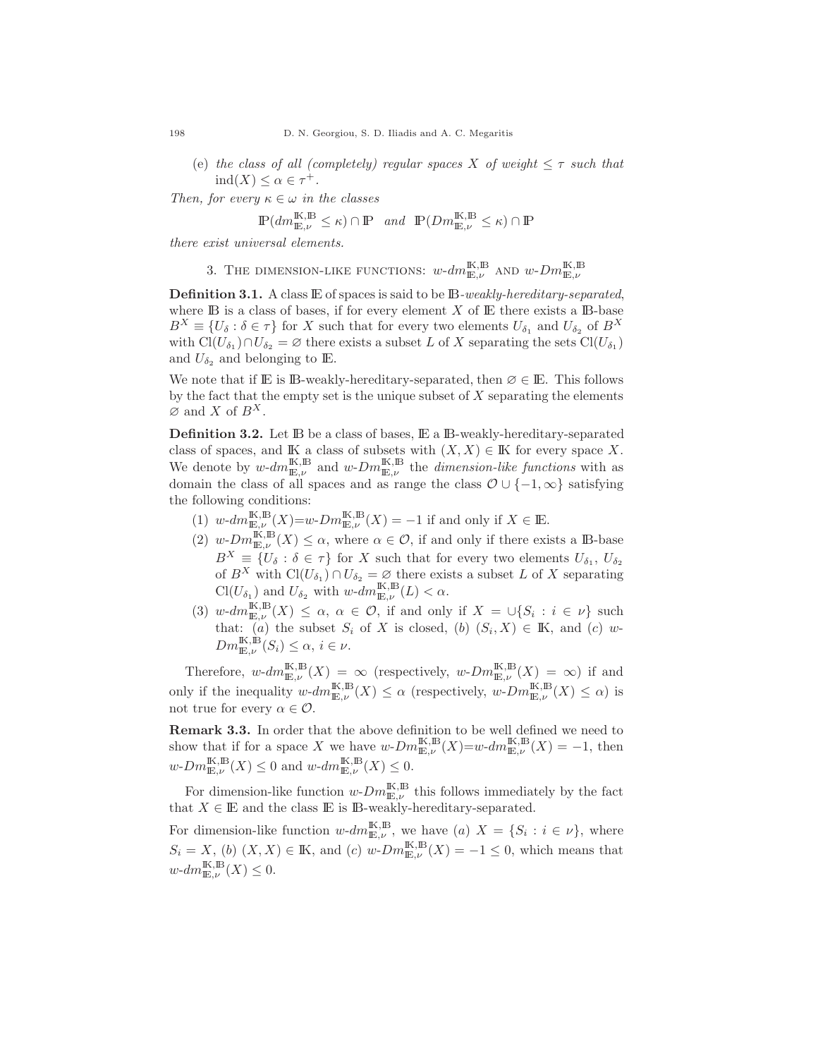(e) the class of all (completely) regular spaces X of weight  $\leq \tau$  such that  $\text{ind}(X) \leq \alpha \in \tau^+.$ 

Then, for every  $\kappa \in \omega$  in the classes

$$
\mathbb{P}(dm^{\mathbb{K},\mathbb{B}}_{\mathbb{E},\nu}\leq \kappa)\cap \mathbb{P} \ \ \text{and} \ \ \mathbb{P}(Dm^{\mathbb{K},\mathbb{B}}_{\mathbb{E},\nu}\leq \kappa)\cap \mathbb{P}
$$

there exist universal elements.

3. THE DIMENSION-LIKE FUNCTIONS: 
$$
w \text{-} dm_{\mathbb{E},\nu}^{\mathbb{K},\mathbb{B}}
$$
 and  $w \text{-} Dm_{\mathbb{E},\nu}^{\mathbb{K},\mathbb{B}}$ 

Definition 3.1. A class  $E$  of spaces is said to be  $E$ -weakly-hereditary-separated, where  $\mathbb B$  is a class of bases, if for every element X of  $\mathbb E$  there exists a  $\mathbb B$ -base  $B^X \equiv \{U_\delta : \delta \in \tau\}$  for X such that for every two elements  $U_{\delta_1}$  and  $U_{\delta_2}$  of  $B^X$ with  $\text{Cl}(U_{\delta_1}) \cap U_{\delta_2} = \varnothing$  there exists a subset L of X separating the sets  $\text{Cl}(U_{\delta_1})$ and  $U_{\delta_2}$  and belonging to E.

We note that if  $E$  is B-weakly-hereditary-separated, then  $\varnothing \in E$ . This follows by the fact that the empty set is the unique subset of  $X$  separating the elements  $\varnothing$  and X of  $B^X$ .

Definition 3.2. Let B be a class of bases, E a B-weakly-hereditary-separated class of spaces, and IK a class of subsets with  $(X, X) \in \mathbb{K}$  for every space X. We denote by  $w$ -d $m_{\mathbb{E},\nu}^{\mathbb{K},\mathbb{B}}$  and  $w$ -D $m_{\mathbb{E},\nu}^{\mathbb{K},\mathbb{B}}$  the *dimension-like functions* with as domain the class of all spaces and as range the class  $\mathcal{O} \cup \{-1, \infty\}$  satisfying the following conditions:

- (1)  $w \cdot dm_{\mathbb{E},\nu}^{\mathbb{K},\mathbb{B}}(X) = w \cdot Dm_{\mathbb{E},\nu}^{\mathbb{K},\mathbb{B}}(X) = -1$  if and only if  $X \in \mathbb{E}$ .
- (2)  $w\text{-}Dm_{\mathbb{E},\nu}^{\mathbb{K},\mathbb{B}}(X) \leq \alpha$ , where  $\alpha \in \mathcal{O}$ , if and only if there exists a B-base  $B^X \equiv \{U_\delta : \delta \in \tau\}$  for X such that for every two elements  $U_{\delta_1}, U_{\delta_2}$ of  $B^X$  with  $Cl(U_{\delta_1}) \cap U_{\delta_2} = \varnothing$  there exists a subset L of X separating  $\text{Cl}(U_{\delta_1})$  and  $U_{\delta_2}$  with  $w \text{-} dm_{\mathbb{E},\nu}^{\mathbb{K},\mathbb{B}}(L) < \alpha$ .
- (3) w-d $m_{\mathbb{E},\nu}^{\mathbb{K},\mathbb{B}}(X) \leq \alpha, \ \alpha \in \mathcal{O}$ , if and only if  $X = \bigcup \{S_i : i \in \nu\}$  such that: (a) the subset  $S_i$  of X is closed, (b)  $(S_i, X) \in \mathbb{K}$ , and (c) w- $Dm_{\mathbb{E},\nu}^{\mathbb{K},\mathbb{B}}(S_i) \leq \alpha, i \in \nu.$

Therefore,  $w \text{-} dm_{\mathbb{E},\nu}^{\mathbb{K},\mathbb{B}}(X) = \infty$  (respectively,  $w \text{-} Dm_{\mathbb{E},\nu}^{\mathbb{K},\mathbb{B}}(X) = \infty$ ) if and only if the inequality  $w$ - $dm_{\mathbb{E},\nu}^{\mathbb{K},\mathbb{B}}(X) \le \alpha$  (respectively,  $w$ - $Dm_{\mathbb{E},\nu}^{\mathbb{K},\mathbb{B}}(X) \le \alpha$ ) is not true for every  $\alpha \in \mathcal{O}$ .

Remark 3.3. In order that the above definition to be well defined we need to show that if for a space X we have  $w$ - $Dm_{\mathbb{E},\nu}^{\mathbb{K},\mathbb{B}}(X)=w$ - $dm_{\mathbb{E},\nu}^{\mathbb{K},\mathbb{B}}(X)=-1$ , then  $w\text{-}Dm_{\mathbb{E},\nu}^{\mathbb{K},\mathbb{B}}(X) \leq 0$  and  $w\text{-}dm_{\mathbb{E},\nu}^{\mathbb{K},\mathbb{B}}(X) \leq 0$ .

For dimension-like function  $w$ - $Dm_{\mathbb{E},\nu}^{\mathbb{K},\mathbb{B}}$  this follows immediately by the fact that  $X \in \mathbb{E}$  and the class  $\mathbb{E}$  is B-weakly-hereditary-separated.

For dimension-like function  $w$ -d $m_{\mathbb{E},\nu}^{\mathbb{K},\mathbb{B}}$ , we have  $(a)$   $X = \{S_i : i \in \nu\}$ , where  $S_i = X$ , (b)  $(X, X) \in \mathbb{K}$ , and (c)  $w$ - $Dm_{\mathbb{E},\nu}^{\mathbb{K},\mathbb{B}}(X) = -1 \leq 0$ , which means that  $w\text{-}dm_{\mathbb{E},\nu}^{\mathbb{K},\mathbb{B}}(X) \leq 0.$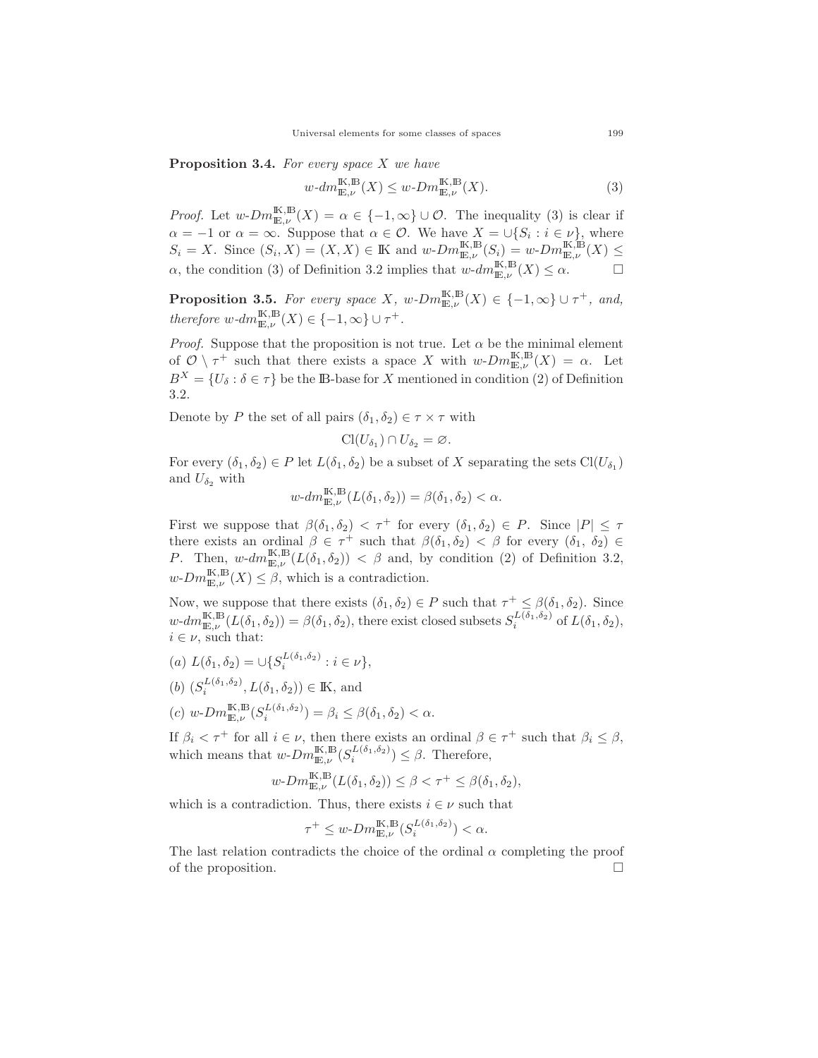**Proposition 3.4.** For every space  $X$  we have

$$
w\text{-}dm_{\mathbb{E},\nu}^{\mathbb{K},\mathbb{B}}(X) \le w\text{-}Dm_{\mathbb{E},\nu}^{\mathbb{K},\mathbb{B}}(X). \tag{3}
$$

*Proof.* Let  $w$ - $Dm_{\mathbb{E},\nu}^{\mathbb{K},\mathbb{B}}(X) = \alpha \in \{-1,\infty\} \cup \mathcal{O}$ . The inequality (3) is clear if  $\alpha = -1$  or  $\alpha = \infty$ . Suppose that  $\alpha \in \mathcal{O}$ . We have  $X = \bigcup \{S_i : i \in \nu\}$ , where  $S_i = X$ . Since  $(S_i, X) = (X, X) \in \mathbb{K}$  and  $w$ - $Dm_{\mathbb{E}, \nu}^{\mathbb{K}, \mathbb{B}}(S_i) = w$ - $Dm_{\mathbb{E}, \nu}^{\mathbb{K}, \mathbb{B}}(X) \leq$  $\alpha$ , the condition (3) of Definition 3.2 implies that  $w \cdot dm_{\mathbb{E},\nu}^{\mathbb{K},\mathbb{B}}(X) \leq \alpha$ .

**Proposition 3.5.** For every space X, w- $Dm_{\mathbb{E},\nu}^{\mathbb{K},\mathbb{B}}(X) \in \{-1,\infty\} \cup \tau^+$ , and, therefore  $w \text{-} dm_{\mathbb{E},\nu}^{\mathbb{K},\mathbb{B}}(X) \in \{-1,\infty\} \cup \tau^+.$ 

*Proof.* Suppose that the proposition is not true. Let  $\alpha$  be the minimal element of  $\mathcal{O} \setminus \tau^+$  such that there exists a space X with  $w$ - $Dm_{\mathbb{E},\nu}^{\mathbb{K},\mathbb{B}}(X) = \alpha$ . Let  $B^X = \{U_\delta : \delta \in \tau\}$  be the IB-base for X mentioned in condition (2) of Definition 3.2.

Denote by P the set of all pairs  $(\delta_1, \delta_2) \in \tau \times \tau$  with

$$
\mathrm{Cl}(U_{\delta_1})\cap U_{\delta_2}=\varnothing.
$$

For every  $(\delta_1, \delta_2) \in P$  let  $L(\delta_1, \delta_2)$  be a subset of X separating the sets  $Cl(U_{\delta_1})$ and  $U_{\delta_2}$  with

$$
w \text{-} dm_{\mathbb{E},\nu}^{\mathbb{K},\mathbb{B}} (L(\delta_1,\delta_2)) = \beta(\delta_1,\delta_2) < \alpha.
$$

First we suppose that  $\beta(\delta_1, \delta_2) < \tau^+$  for every  $(\delta_1, \delta_2) \in P$ . Since  $|P| \leq \tau$ there exists an ordinal  $\beta \in \tau^+$  such that  $\beta(\delta_1, \delta_2) < \beta$  for every  $(\delta_1, \delta_2) \in$ P. Then,  $w \text{-} dm_{\mathbb{E},\nu}^{\mathbb{K},\mathbb{B}}(L(\delta_1,\delta_2)) < \beta$  and, by condition (2) of Definition 3.2,  $w\text{-}Dm_{\mathbb{E},\nu}^{\mathbb{K},\mathbb{B}}(X) \leq \beta$ , which is a contradiction.

Now, we suppose that there exists  $(\delta_1, \delta_2) \in P$  such that  $\tau^+ \leq \beta(\delta_1, \delta_2)$ . Since  $w \cdot dm_{\mathbb{E},\nu}^{\mathbb{K},\mathbb{B}}(L(\delta_1,\delta_2)) = \beta(\delta_1,\delta_2)$ , there exist closed subsets  $S_i^{L(\delta_1,\delta_2)}$  of  $L(\delta_1,\delta_2)$ ,  $i \in \nu$ , such that:

- (a)  $L(\delta_1, \delta_2) = \cup \{ S_i^{L(\delta_1, \delta_2)} : i \in \nu \},\$
- (*b*)  $(S_i^{L(\delta_1, \delta_2)}, L(\delta_1, \delta_2)) \in \mathbb{K}$ , and
- (c)  $w\text{-}Dm_{\mathbb{E},\nu}^{\mathbb{K},\mathbb{B}}(S_i^{L(\delta_1,\delta_2)}) = \beta_i \leq \beta(\delta_1,\delta_2) < \alpha.$

If  $\beta_i < \tau^+$  for all  $i \in \nu$ , then there exists an ordinal  $\beta \in \tau^+$  such that  $\beta_i \leq \beta$ , which means that  $w$ - $Dm_{\mathbb{E},\nu}^{\mathbb{K},\mathbb{B}}(S_i^{L(\delta_1,\delta_2)}) \leq \beta$ . Therefore,

$$
w\text{-}Dm_{\mathbb{E},\nu}^{\mathbb{K},\mathbb{B}}(L(\delta_1,\delta_2)) \leq \beta < \tau^+ \leq \beta(\delta_1,\delta_2),
$$

which is a contradiction. Thus, there exists  $i \in \nu$  such that

$$
\tau^+ \leq w\text{-}Dm_{\mathbb{E},\nu}^{\mathbb{K},\mathbb{B}}(S_i^{L(\delta_1,\delta_2)}) < \alpha.
$$

The last relation contradicts the choice of the ordinal  $\alpha$  completing the proof of the proposition.  $\Box$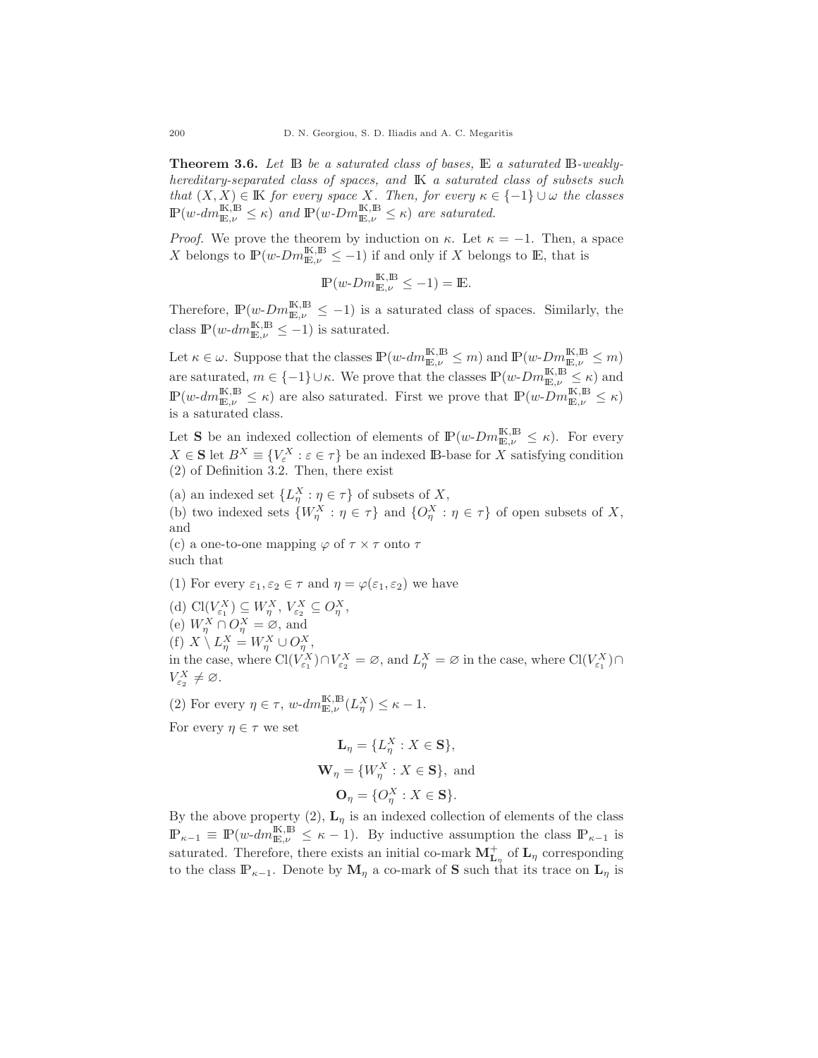**Theorem 3.6.** Let  $\mathbb{B}$  be a saturated class of bases,  $\mathbb{E}$  a saturated  $\mathbb{B}$ -weaklyhereditary-separated class of spaces, and  $\mathbb{K}$  a saturated class of subsets such that  $(X, X) \in \mathbb{K}$  for every space X. Then, for every  $\kappa \in \{-1\} \cup \omega$  the classes  $\mathbb{P}(w \text{-} dm_{\mathbb{E}, \nu}^{\mathbb{K}, \mathbb{B}} \leq \kappa)$  and  $\mathbb{P}(w \text{-} Dm_{\mathbb{E}, \nu}^{\mathbb{K}, \mathbb{B}} \leq \kappa)$  are saturated.

*Proof.* We prove the theorem by induction on  $\kappa$ . Let  $\kappa = -1$ . Then, a space X belongs to  $\mathbb{P}(w\text{-}Dm_{\mathbb{E},\nu}^{\mathbb{K},\mathbb{B}} \leq -1)$  if and only if X belongs to  $\mathbb{E}$ , that is

$$
\mathbb{P}(w \text{-} D m_{\mathbb{E}, \nu}^{\mathbb{K}, \mathbb{B}} \le -1) = \mathbb{E}.
$$

Therefore,  $\mathbb{P}(w \text{-} Dm_{\mathbb{E},\nu}^{\mathbb{K},\mathbb{B}} \leq -1)$  is a saturated class of spaces. Similarly, the class  $\mathbb{P}(w \text{-} dm_{\mathbb{E},\nu}^{\mathbb{K},\mathbb{B}} \leq -1)$  is saturated.

Let  $\kappa \in \omega$ . Suppose that the classes  $\mathbb{P}(w \cdot dm_{\mathbb{E},\nu}^{\mathbb{K},\mathbb{B}} \leq m)$  and  $\mathbb{P}(w \cdot Dm_{\mathbb{E},\nu}^{\mathbb{K},\mathbb{B}} \leq m)$ are saturated,  $m \in \{-1\} \cup \kappa$ . We prove that the classes  $\mathbb{P}(w \text{-} D m_{\mathbb{E},\nu}^{\mathbb{K},\mathbb{B}} \leq \kappa)$  and  $\mathbb{P}(w \text{-} dm_{\mathbb{E},\nu}^{\mathbb{K},\mathbb{B}} \leq \kappa)$  are also saturated. First we prove that  $\mathbb{P}(w \text{-} D m_{\mathbb{E},\nu}^{\mathbb{K},\mathbb{B}} \leq \kappa)$ is a saturated class.

Let **S** be an indexed collection of elements of  $\mathbb{P}(w\text{-}Dm_{\mathbb{E},\nu}^{\mathbb{K},\mathbb{B}} \leq \kappa)$ . For every  $X \in \mathbf{S}$  let  $B^X \equiv \{V_{\varepsilon}^X : \varepsilon \in \tau\}$  be an indexed B-base for X satisfying condition (2) of Definition 3.2. Then, there exist

(a) an indexed set  $\{L_{\eta}^X : \eta \in \tau\}$  of subsets of X, (b) two indexed sets  $\{W_{\eta}^X : \eta \in \tau\}$  and  $\{O_{\eta}^X : \eta \in \tau\}$  of open subsets of X, and

(c) a one-to-one mapping  $\varphi$  of  $\tau \times \tau$  onto  $\tau$ such that

(1) For every  $\varepsilon_1, \varepsilon_2 \in \tau$  and  $\eta = \varphi(\varepsilon_1, \varepsilon_2)$  we have

(d)  $\mathrm{Cl}(V_{\varepsilon_1}^X) \subseteq W_{\eta}^X, V_{\varepsilon_2}^X \subseteq O_{\eta}^X,$ (e)  $W_{\eta}^X \cap O_{\eta}^X = \varnothing$ , and (f)  $X \setminus L_{\eta}^X = W_{\eta}^X \cup O_{\eta}^X$ , in the case, where  $Cl(V_{\varepsilon_1}^X) \cap V_{\varepsilon_2}^X = \varnothing$ , and  $L_\eta^X = \varnothing$  in the case, where  $Cl(V_{\varepsilon_1}^X) \cap V_{\varepsilon_2}^X = \varnothing$ .  $V_{\varepsilon_2}^X \neq \varnothing$ .  $\boldsymbol{X}$ 

(2) For every  $\eta \in \tau$ , w- $dm_{\mathbb{E},\nu}^{\mathbb{K},\mathbb{B}}(L_{\eta}^X) \leq \kappa - 1$ .

For every  $\eta \in \tau$  we set

$$
\mathbf{L}_{\eta} = \{L_{\eta}^X : X \in \mathbf{S}\},
$$
  

$$
\mathbf{W}_{\eta} = \{W_{\eta}^X : X \in \mathbf{S}\}, \text{ and}
$$
  

$$
\mathbf{O}_{\eta} = \{O_{\eta}^X : X \in \mathbf{S}\}.
$$

By the above property (2),  $\mathbf{L}_n$  is an indexed collection of elements of the class  $\mathbb{P}_{\kappa-1} \equiv \mathbb{P}(w \text{-} dm_{\mathbb{E},\nu}^{\mathbb{K},\mathbb{B}} \le \kappa - 1)$ . By inductive assumption the class  $\mathbb{P}_{\kappa-1}$  is saturated. Therefore, there exists an initial co-mark  $\mathbf{M}^{+}_{\mathbf{L}_\eta}$  of  $\mathbf{L}_\eta$  corresponding to the class  $\mathbb{P}_{\kappa-1}$ . Denote by  $\mathbf{M}_{\eta}$  a co-mark of **S** such that its trace on  $\mathbf{L}_{\eta}$  is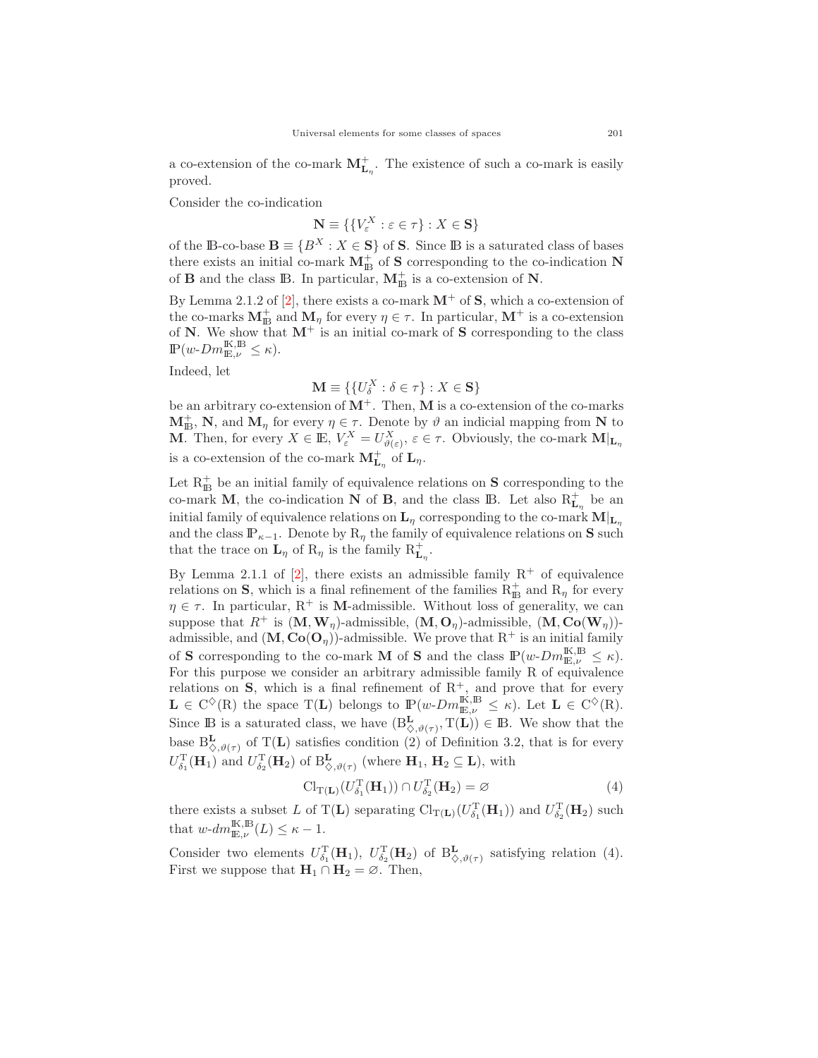a co-extension of the co-mark  $M^{\dagger}_{L_{\eta}}$ . The existence of such a co-mark is easily proved.

Consider the co-indication

$$
\mathbf{N} \equiv \{ \{ V_{\varepsilon}^X : \varepsilon \in \tau \} : X \in \mathbf{S} \}
$$

of the IB-co-base  $\mathbf{B} \equiv \{B^X : X \in \mathbf{S}\}\$  of S. Since IB is a saturated class of bases there exists an initial co-mark  $M_{\mathbb{B}}^{+}$  of **S** corresponding to the co-indication N of **B** and the class **IB**. In particular,  $M_{\mathbb{B}}^{+}$  is a co-extension of **N**.

By Lemma 2.1.2 of  $[2]$ , there exists a co-mark  $M^+$  of S, which a co-extension of the co-marks  $M_{IB}^+$  and  $M_{\eta}$  for every  $\eta \in \tau$ . In particular,  $M^+$  is a co-extension of N. We show that  $M^+$  is an initial co-mark of S corresponding to the class  $\mathbb{P}(w\text{-}Dm_{\mathbb{E},\nu}^{\mathbb{K},\mathbb{B}} \leq \kappa).$ 

Indeed, let

$$
\mathbf{M} \equiv \{ \{U_{\delta}^X : \delta \in \tau \} : X \in \mathbf{S} \}
$$

be an arbitrary co-extension of  $M^+$ . Then, M is a co-extension of the co-marks  $M_{\mathbb{B}}^{+}$ , N, and  $M_{\eta}$  for every  $\eta \in \tau$ . Denote by  $\vartheta$  an indicial mapping from N to **M**. Then, for every  $X \in \mathbb{E}$ ,  $V_{\varepsilon}^X = U_{\vartheta(\varepsilon)}^X$ ,  $\varepsilon \in \tau$ . Obviously, the co-mark  $\mathbf{M}|_{\mathbf{L}_{\eta}}$ is a co-extension of the co-mark  $\mathbf{M}^{\text{+}}_{\mathbf{L}_{\eta}}$  of  $\mathbf{L}_{\eta}$ .

Let  $R_{\mathbb{B}}^{+}$  be an initial family of equivalence relations on  $\mathbf S$  corresponding to the co-mark **M**, the co-indication **N** of **B**, and the class **IB**. Let also  $R_{L_{\eta}}^{+}$  be an initial family of equivalence relations on  $\mathbf{L}_\eta$  corresponding to the co-mark  $\mathbf{M}|_{\mathbf{L}_\eta}$ and the class  $\mathbb{P}_{\kappa-1}$ . Denote by  $\mathbb{R}_{\eta}$  the family of equivalence relations on S such that the trace on  $\mathbf{L}_{\eta}$  of  $\mathbf{R}_{\eta}$  is the family  $\mathbf{R}_{\mathbf{L}_{\eta}}^{+}$ .

By Lemma 2.1.1 of [\[2\]](#page-18-4), there exists an admissible family  $R^+$  of equivalence relations on  $S$ , which is a final refinement of the families  $R_{\mathbb{B}}^{+}$  and  $R_{\eta}$  for every  $\eta \in \tau$ . In particular,  $R^+$  is M-admissible. Without loss of generality, we can suppose that  $R^+$  is  $(M, W_\eta)$ -admissible,  $(M, O_\eta)$ -admissible,  $(M, Co(W_\eta))$ admissible, and  $(M, Co(O_{\eta}))$ -admissible. We prove that  $R^{+}$  is an initial family of **S** corresponding to the co-mark **M** of **S** and the class  $\mathbb{P}(w\text{-}Dm_{\mathbb{E},\nu}^{\mathbb{K},\mathbb{B}} \leq \kappa)$ . For this purpose we consider an arbitrary admissible family R of equivalence relations on  $S$ , which is a final refinement of  $R^+$ , and prove that for every  $\mathbf{L} \in C^{\diamond}(R)$  the space  $T(\mathbf{L})$  belongs to  $\mathbb{P}(w \text{-} Dm_{\mathbb{E},\nu}^{\mathbb{K},\mathbb{B}} \leq \kappa)$ . Let  $\mathbf{L} \in C^{\diamond}(R)$ . Since B is a saturated class, we have  $(B_{\diamondsuit,\vartheta(\tau)}^{\mathbf{L}},T(\mathbf{L}))\in\mathbb{B}$ . We show that the base  $B_{\diamondsuit,\vartheta(\tau)}^{\mathbf{L}}$  of  $T(\mathbf{L})$  satisfies condition (2) of Definition 3.2, that is for every  $U_{\delta_1}^{\mathrm{T}}(\mathbf{H}_1)$  and  $U_{\delta_2}^{\mathrm{T}}(\mathbf{H}_2)$  of  $B_{\diamondsuit,\vartheta(\tau)}^{\mathbf{L}}$  (where  $\mathbf{H}_1, \mathbf{H}_2 \subseteq \mathbf{L}$ ), with

$$
\mathrm{Cl}_{\mathrm{T}(\mathbf{L})}(U_{\delta_1}^{\mathrm{T}}(\mathbf{H}_1)) \cap U_{\delta_2}^{\mathrm{T}}(\mathbf{H}_2) = \varnothing \tag{4}
$$

there exists a subset L of T(L) separating  $Cl_{T(L)}(U_{\delta_1}^T(H_1))$  and  $U_{\delta_2}^T(H_2)$  such that  $w \text{-} dm_{\mathbb{E},\nu}^{\mathbb{K},\mathbb{B}}(L) \leq \kappa - 1.$ 

Consider two elements  $U_{\delta_1}^{\rm T}(\mathbf{H}_1)$ ,  $U_{\delta_2}^{\rm T}(\mathbf{H}_2)$  of  $B_{\diamondsuit,\vartheta(\tau)}^{\rm L}$  satisfying relation (4). First we suppose that  $H_1 \cap H_2 = \emptyset$ . Then,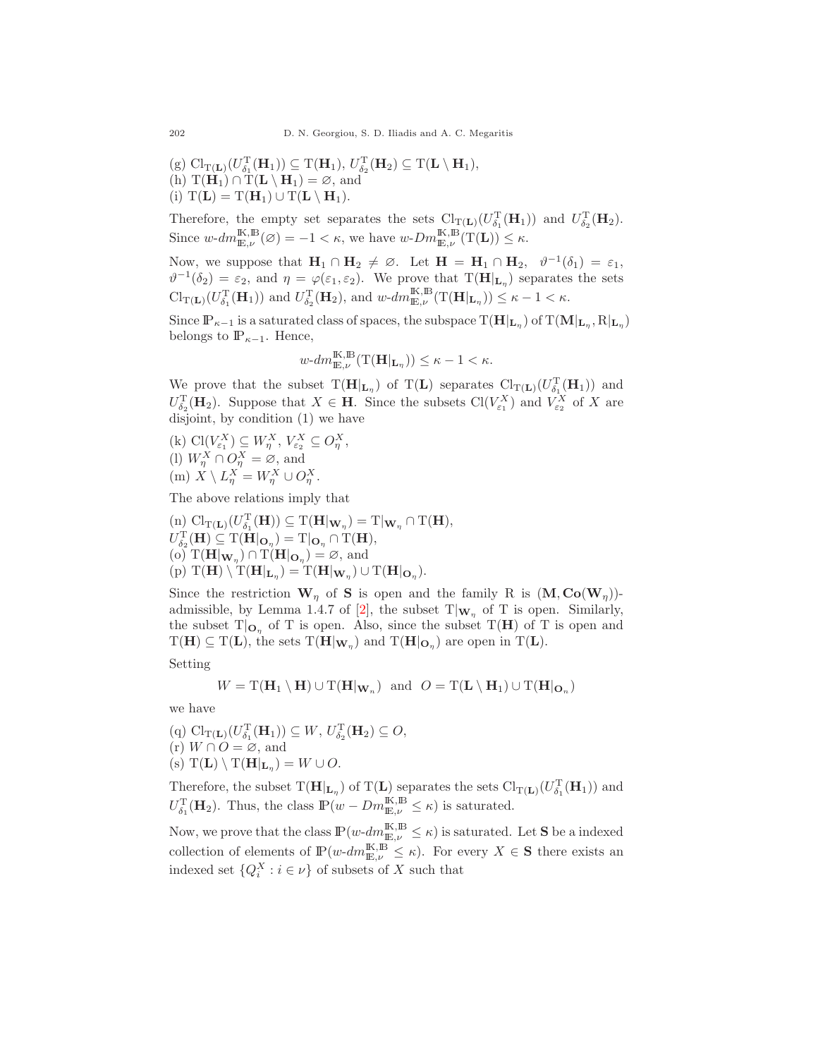(g)  $\text{Cl}_{\text{T}(\mathbf{L})}(U_{\delta_1}^{\text{T}}(\mathbf{H}_1)) \subseteq \text{T}(\mathbf{H}_1), U_{\delta_2}^{\text{T}}(\mathbf{H}_2) \subseteq \text{T}(\mathbf{L} \setminus \mathbf{H}_1),$ (h)  $T(\mathbf{H}_1) \cap T(\mathbf{L} \setminus \mathbf{H}_1) = \varnothing$ , and (i)  $T(\mathbf{L}) = T(\mathbf{H}_1) \cup T(\mathbf{L} \setminus \mathbf{H}_1).$ 

Therefore, the empty set separates the sets  $\text{Cl}_{\text{T}(\mathbf{L})}(U_{\delta_1}^{\text{T}}(\mathbf{H}_1))$  and  $U_{\delta_2}^{\text{T}}(\mathbf{H}_2)$ . Since  $w \text{-} dm_{\mathbb{E},\nu}^{\mathbb{K},\mathbb{B}}(\varnothing) = -1 < \kappa$ , we have  $w \text{-} Dm_{\mathbb{E},\nu}^{\mathbb{K},\mathbb{B}}(\mathcal{T}(\mathbf{L})) \leq \kappa$ .

Now, we suppose that  $H_1 \cap H_2 \neq \emptyset$ . Let  $H = H_1 \cap H_2$ ,  $\vartheta^{-1}(\delta_1) = \varepsilon_1$ ,  $\vartheta^{-1}(\delta_2) = \varepsilon_2$ , and  $\eta = \varphi(\varepsilon_1, \varepsilon_2)$ . We prove that  $T(\mathbf{H}|_{\mathbf{L}_{\eta}})$  separates the sets  $\text{Cl}_{\text{T}(\mathbf{L})}(U_{\delta_1}^{\text{T}}(\mathbf{H}_1))$  and  $U_{\delta_2}^{\text{T}}(\mathbf{H}_2)$ , and  $w \text{-} dm_{\mathbf{E},\nu}^{\text{K},\mathbf{E}}(\text{T}(\mathbf{H}|_{\mathbf{L}_{\eta}})) \leq \kappa - 1 < \kappa$ .

Since  $\mathbb{P}_{\kappa-1}$  is a saturated class of spaces, the subspace  $\mathrm{T}(\mathbf{H}|_{\mathbf{L}_{\eta}})$  of  $\mathrm{T}(\mathbf{M}|_{\mathbf{L}_{\eta}}, \mathrm{R}|_{\mathbf{L}_{\eta}})$ belongs to  $\mathbb{P}_{\kappa-1}$ . Hence,

$$
w\text{-}dm_{\mathbb{E},\nu}^{\mathbb{K},\mathbb{B}}(\mathrm{T}(\mathbf{H}|_{\mathbf{L}_{\eta}})) \leq \kappa - 1 < \kappa.
$$

We prove that the subset  $T(H|_{L_{\eta}})$  of  $T(L)$  separates  $Cl_{T(L)}(U_{\delta_1}^T(H_1))$  and  $U_{\delta_2}^{\rm T}(\mathbf{H}_2)$ . Suppose that  $X \in \mathbf{H}$ . Since the subsets  $\text{Cl}(V_{\varepsilon_1}^X)$  and  $V_{\varepsilon_2}^X$  of X are disjoint, by condition (1) we have

(k)  $\text{Cl}(V_{\varepsilon_1}^X) \subseteq W_{\eta}^X, V_{\varepsilon_2}^X \subseteq O_{\eta}^X,$ (1)  $W_{\eta}^X \cap O_{\eta}^X = \varnothing$ , and (m)  $X \setminus L^X_\eta = W^X_\eta \cup O^X_\eta.$ 

The above relations imply that

(n)  $\text{Cl}_{\text{T}(\mathbf{L})}(U_{\delta_1}^{\text{T}}(\mathbf{H})) \subseteq \text{T}(\mathbf{H}|\mathbf{w}_\eta) = \text{T}|\mathbf{w}_\eta \cap \text{T}(\mathbf{H}),$  $U_{\delta_2}^{\mathrm{T}}(\mathbf{H}) \subseteq \mathrm{T}(\mathbf{H}|_{\mathbf{O}_{\eta}}) = \mathrm{T}|_{\mathbf{O}_{\eta}} \cap \mathrm{T}(\mathbf{H}),$ (o)  $T(\mathbf{H}|\mathbf{w}_n) \cap T(\mathbf{H}|\mathbf{o}_n) = \varnothing$ , and (p)  $T(H) \setminus T(H|_{L_{\eta}}) = T(H|_{W_{\eta}}) \cup T(H|_{O_{\eta}}).$ 

Since the restriction  $\mathbf{W}_{\eta}$  of **S** is open and the family R is  $(\mathbf{M}, \mathbf{Co}(\mathbf{W}_{\eta}))$ -admissible, by Lemma 1.4.7 of [\[2\]](#page-18-4), the subset  $T|\mathbf{w}_n$  of T is open. Similarly, the subset  $T|_{O_n}$  of T is open. Also, since the subset  $T(H)$  of T is open and  $T(H) \subseteq T(L)$ , the sets  $T(H|_{\mathbf{W}_{\eta}})$  and  $T(H|_{\mathbf{O}_{\eta}})$  are open in  $T(L)$ .

Setting

$$
W = T(\mathbf{H}_1 \setminus \mathbf{H}) \cup T(\mathbf{H}|\mathbf{W}_n)
$$
 and  $O = T(\mathbf{L} \setminus \mathbf{H}_1) \cup T(\mathbf{H}|\mathbf{O}_n)$ 

we have

(q)  $\text{Cl}_{\text{T}}(\mathbf{L}) (U_{\delta_1}^{\text{T}}(\mathbf{H}_1)) \subseteq W, U_{\delta_2}^{\text{T}}(\mathbf{H}_2) \subseteq O,$  $(r) W \cap O = \emptyset$ , and (s)  $T(L) \setminus T(H|_{L_{\eta}}) = W \cup O.$ 

Therefore, the subset  $T(H|_{L_{\eta}})$  of  $T(L)$  separates the sets  $Cl_{T(L)}(U_{\delta_1}^T(H_1))$  and  $U_{\delta_1}^{\mathrm{T}}(\mathbf{H}_2)$ . Thus, the class  $\mathbb{P}(w - Dm_{\mathbb{E},\nu}^{\mathbb{K},\mathbb{B}} \leq \kappa)$  is saturated.

Now, we prove that the class  $\mathbb{P}(w \text{-} dm_{\mathbb{E},\nu}^{\mathbb{K},\mathbb{B}} \leq \kappa)$  is saturated. Let **S** be a indexed collection of elements of  $\mathbb{P}(w \text{-} dm_{\mathbb{E},\nu}^{\mathbb{K},\mathbb{B}} \leq \kappa)$ . For every  $X \in \mathbf{S}$  there exists an indexed set  $\{Q_i^X : i \in \nu\}$  of subsets of X such that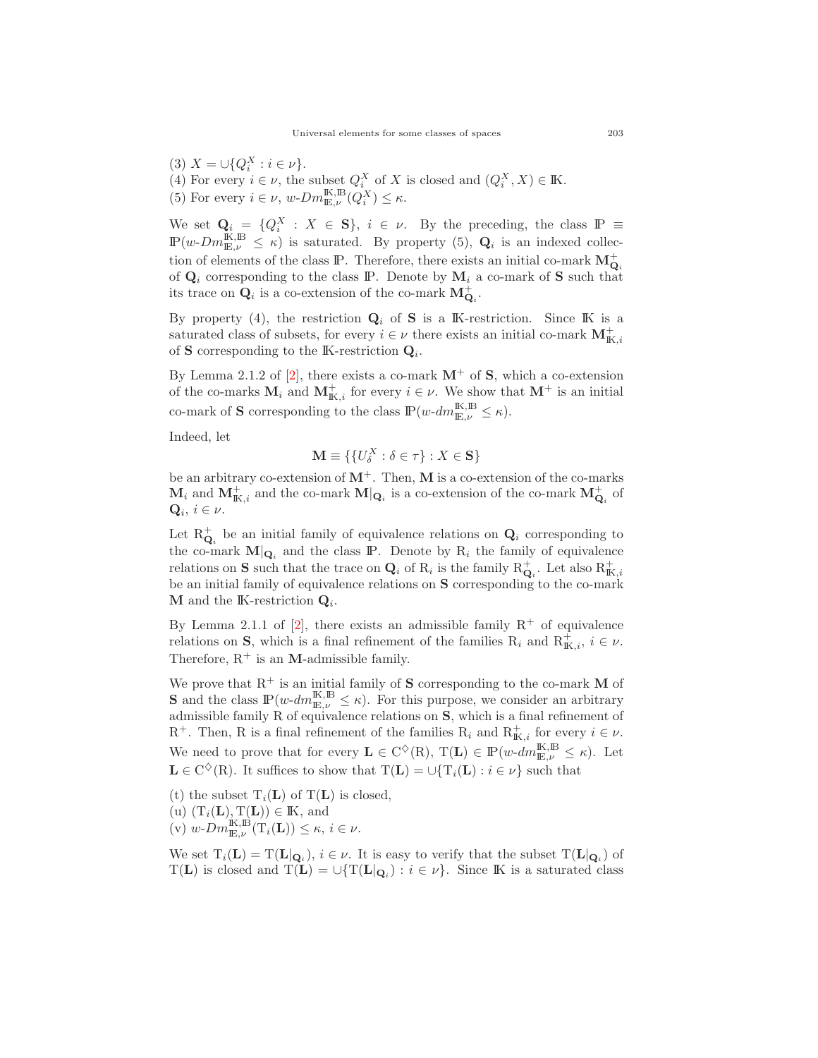- (3)  $X = \bigcup \{Q_i^X : i \in \nu\}.$
- (4) For every  $i \in \nu$ , the subset  $Q_i^X$  of X is closed and  $(Q_i^X, X) \in \mathbb{K}$ .
- (5) For every  $i \in \nu$ , w- $Dm_{\mathbb{E},\nu}^{\mathbb{K},\mathbb{B}}(Q_i^X) \leq \kappa$ .

We set  $\mathbf{Q}_i = \{Q_i^X : X \in \mathbf{S}\}, i \in \nu$ . By the preceding, the class  $\mathbf{P} \equiv$  $\mathbb{P}(w\text{-}Dm_{\mathbb{E},\nu}^{\mathbb{K},\mathbb{B}} \leq \kappa)$  is saturated. By property (5),  $\mathbf{Q}_i$  is an indexed collection of elements of the class **IP**. Therefore, there exists an initial co-mark  $M_{\mathbf{Q}_i}^+$ of  $\mathbf{Q}_i$  corresponding to the class IP. Denote by  $\mathbf{M}_i$  a co-mark of S such that its trace on  $\mathbf{Q}_i$  is a co-extension of the co-mark  $\mathbf{M}_{\mathbf{Q}_i}^+$ .

By property (4), the restriction  $Q_i$  of S is a K-restriction. Since K is a saturated class of subsets, for every  $i \in \nu$  there exists an initial co-mark  $\mathbf{M}^+_{\mathbf{K},i}$ of S corresponding to the K-restriction  $\mathbf{Q}_i$ .

By Lemma 2.1.2 of  $[2]$ , there exists a co-mark  $M^+$  of S, which a co-extension of the co-marks  $\mathbf{M}_i$  and  $\mathbf{M}_{\mathbb{K},i}^+$  for every  $i \in \nu$ . We show that  $\mathbf{M}^+$  is an initial co-mark of **S** corresponding to the class  $\mathbb{P}(w \cdot dm_{\mathbb{E},\nu}^{\mathbb{K},\mathbb{B}} \leq \kappa)$ .

Indeed, let

$$
\mathbf{M} \equiv \{ \{ U^X_\delta : \delta \in \tau \} : X \in \mathbf{S} \}
$$

be an arbitrary co-extension of  $M^+$ . Then, M is a co-extension of the co-marks  $M_i$  and  $M_{\text{IK},i}^+$  and the co-mark  $M|_{\text{Q}_i}$  is a co-extension of the co-mark  $M_{\text{Q}_i}^+$  of  $\mathbf{Q}_i, i \in \nu$ .

Let  $R_{\mathbf{Q}_i}^+$  be an initial family of equivalence relations on  $\mathbf{Q}_i$  corresponding to the co-mark  $M|_{Q_i}$  and the class  $P$ . Denote by  $R_i$  the family of equivalence relations on **S** such that the trace on  $\mathbf{Q}_i$  of  $\mathbf{R}_i$  is the family  $\mathbf{R}_{\mathbf{Q}_i}^+$ . Let also  $\mathbf{R}_{\mathbf{K},i}^+$ be an initial family of equivalence relations on S corresponding to the co-mark **M** and the **IK**-restriction  $\mathbf{Q}_i$ .

By Lemma 2.1.1 of [\[2\]](#page-18-4), there exists an admissible family  $R^+$  of equivalence relations on **S**, which is a final refinement of the families  $R_i$  and  $R_{\mathbb{K},i}^+$ ,  $i \in \nu$ . Therefore,  $R^+$  is an M-admissible family.

We prove that  $R^+$  is an initial family of **S** corresponding to the co-mark M of **S** and the class  $\mathbb{P}(w \text{-} dm_{\mathbb{E},\nu}^{\mathbb{K},\mathbb{B}} \leq \kappa)$ . For this purpose, we consider an arbitrary admissible family R of equivalence relations on S, which is a final refinement of R<sup>+</sup>. Then, R is a final refinement of the families  $R_i$  and  $R_{\mathbb{K},i}^+$  for every  $i \in \nu$ . We need to prove that for every  $\mathbf{L} \in C^{\diamond}(R)$ ,  $T(\mathbf{L}) \in \mathbb{P}(w \cdot dm_{\mathbb{E},\nu}^{\mathbb{K},\mathbb{B}} \leq \kappa)$ . Let  $\mathbf{L} \in C^{\diamond}(R)$ . It suffices to show that  $T(\mathbf{L}) = \bigcup \{T_i(\mathbf{L}) : i \in \nu\}$  such that

- (t) the subset  $T_i(L)$  of  $T(L)$  is closed,
- (u)  $(T_i(L), T(L)) \in \mathbb{K}$ , and
- (v)  $w$ - $Dm_{\mathbb{E},\nu}^{\text{IK},\text{IB}}(\mathrm{T}_i(\mathbf{L})) \leq \kappa, i \in \nu$ .

We set  $T_i(L) = T(L|_{Q_i}), i \in \nu$ . It is easy to verify that the subset  $T(L|_{Q_i})$  of  $T(L)$  is closed and  $T(L) = \cup \{T(L|_{Q_i}) : i \in \nu\}$ . Since K is a saturated class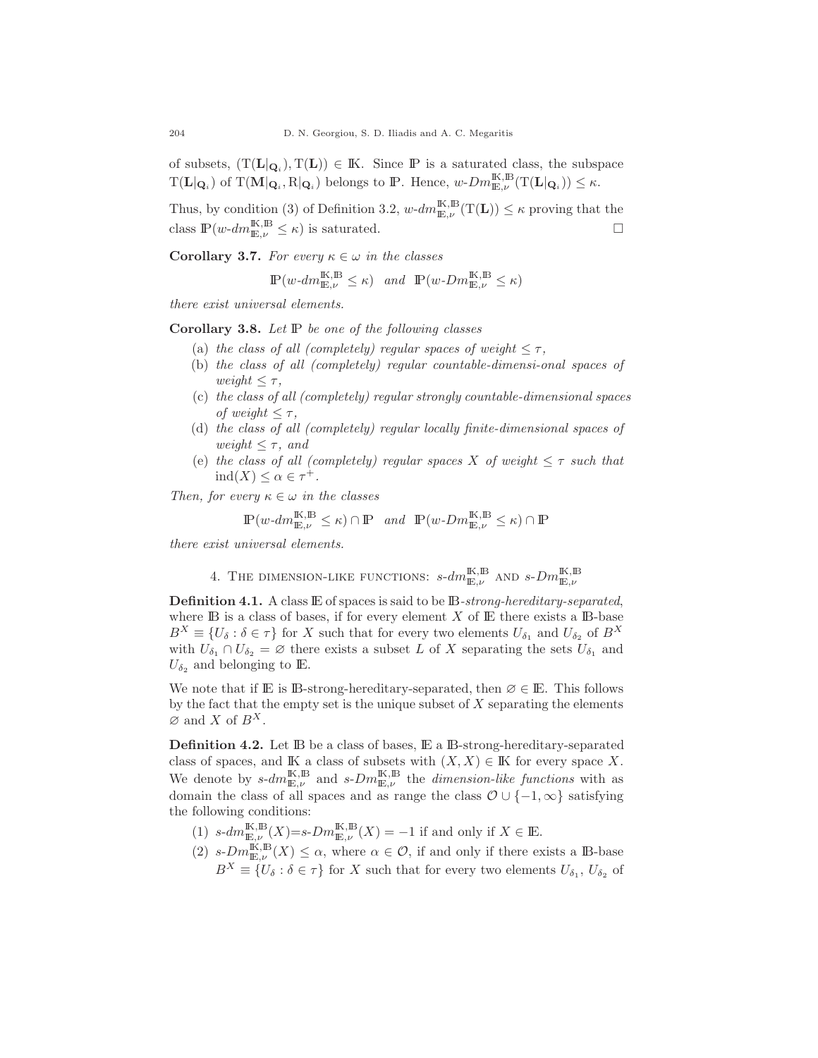of subsets,  $(T(L|_{\mathbf{Q}_i}), T(L)) \in \mathbb{K}$ . Since P is a saturated class, the subspace  $T(L|_{\mathbf{Q}_i})$  of  $T(M|_{\mathbf{Q}_i}, R|_{\mathbf{Q}_i})$  belongs to P. Hence,  $w \text{-} Dm_{\mathbf{E},\nu}^{\text{IK},\text{B}}(T(L|_{\mathbf{Q}_i})) \leq \kappa$ .

Thus, by condition (3) of Definition 3.2,  $w$ - $dm_{\mathbb{E},\nu}^{\mathbb{K},\mathbb{B}}(T(\mathbf{L})) \leq \kappa$  proving that the class  $\mathbb{P}(w \cdot dm_{\mathbb{E},\nu}^{\mathbb{K},\mathbb{B}} \leq \kappa)$  is saturated.

Corollary 3.7. For every  $\kappa \in \omega$  in the classes

$$
\mathbb{P}(w \text{-} dm_{\mathbb{E}, \nu}^{\mathbb{K}, \mathbb{B}} \le \kappa) \quad \text{and} \quad \mathbb{P}(w \text{-} D m_{\mathbb{E}, \nu}^{\mathbb{K}, \mathbb{B}} \le \kappa)
$$

there exist universal elements.

Corollary 3.8. Let  $P$  be one of the following classes

- (a) the class of all (completely) regular spaces of weight  $\leq \tau$ ,
- (b) the class of all (completely) regular countable-dimensi-onal spaces of weight  $\leq \tau$ ,
- (c) the class of all (completely) regular strongly countable-dimensional spaces of weight  $\leq \tau$ ,
- (d) the class of all (completely) regular locally finite-dimensional spaces of weight  $\leq \tau$ , and
- (e) the class of all (completely) regular spaces X of weight  $\leq \tau$  such that  $\text{ind}(X) \leq \alpha \in \tau^+.$

Then, for every  $\kappa \in \omega$  in the classes

$$
\mathbb{P}(w \text{-} dm_{\mathbb{E}, \nu}^{\mathbb{K}, \mathbb{B}} \le \kappa) \cap \mathbb{P} \quad \text{and} \quad \mathbb{P}(w \text{-} D m_{\mathbb{E}, \nu}^{\mathbb{K}, \mathbb{B}} \le \kappa) \cap \mathbb{P}
$$

there exist universal elements.

4. THE DIMENSION-LIKE FUNCTIONS: 
$$
s
$$
- $dm_{\mathbb{E},\nu}^{\mathbb{K},\mathbb{B}}$  and  $s$ - $Dm_{\mathbb{E},\nu}^{\mathbb{K},\mathbb{B}}$ 

Definition 4.1. A class E of spaces is said to be B-strong-hereditary-separated, where  $\mathbb B$  is a class of bases, if for every element X of  $\mathbb E$  there exists a  $\mathbb B$ -base  $B^X \equiv \{U_\delta : \delta \in \tau\}$  for X such that for every two elements  $U_{\delta_1}$  and  $U_{\delta_2}$  of  $B^X$ with  $U_{\delta_1} \cap U_{\delta_2} = \varnothing$  there exists a subset L of X separating the sets  $U_{\delta_1}$  and  $U_{\delta_2}$  and belonging to E.

We note that if E is B-strong-hereditary-separated, then  $\emptyset \in \mathbb{E}$ . This follows by the fact that the empty set is the unique subset of  $X$  separating the elements  $\varnothing$  and X of  $B^X$ .

Definition 4.2. Let B be a class of bases, E a B-strong-hereditary-separated class of spaces, and IK a class of subsets with  $(X, X) \in \mathbb{K}$  for every space X. We denote by  $s$ - $dm_{\mathbb{E},\nu}^{\mathbb{K},\mathbb{B}}$  and  $s$ - $Dm_{\mathbb{E},\nu}^{\mathbb{K},\mathbb{B}}$  the *dimension-like functions* with as domain the class of all spaces and as range the class  $\mathcal{O} \cup \{-1, \infty\}$  satisfying the following conditions:

- (1)  $s\text{-}dm_{\mathbb{E},\nu}^{\mathbb{K},\mathbb{B}}(X)=s\text{-}Dm_{\mathbb{E},\nu}^{\mathbb{K},\mathbb{B}}(X)=-1$  if and only if  $X\in\mathbb{E}$ .
- (2)  $s$ - $Dm_{\mathbb{E},\nu}^{\mathbb{K},\mathbb{B}}(X) \leq \alpha$ , where  $\alpha \in \mathcal{O}$ , if and only if there exists a B-base  $B^X \equiv \{U_\delta : \delta \in \tau\}$  for X such that for every two elements  $U_{\delta_1}, U_{\delta_2}$  of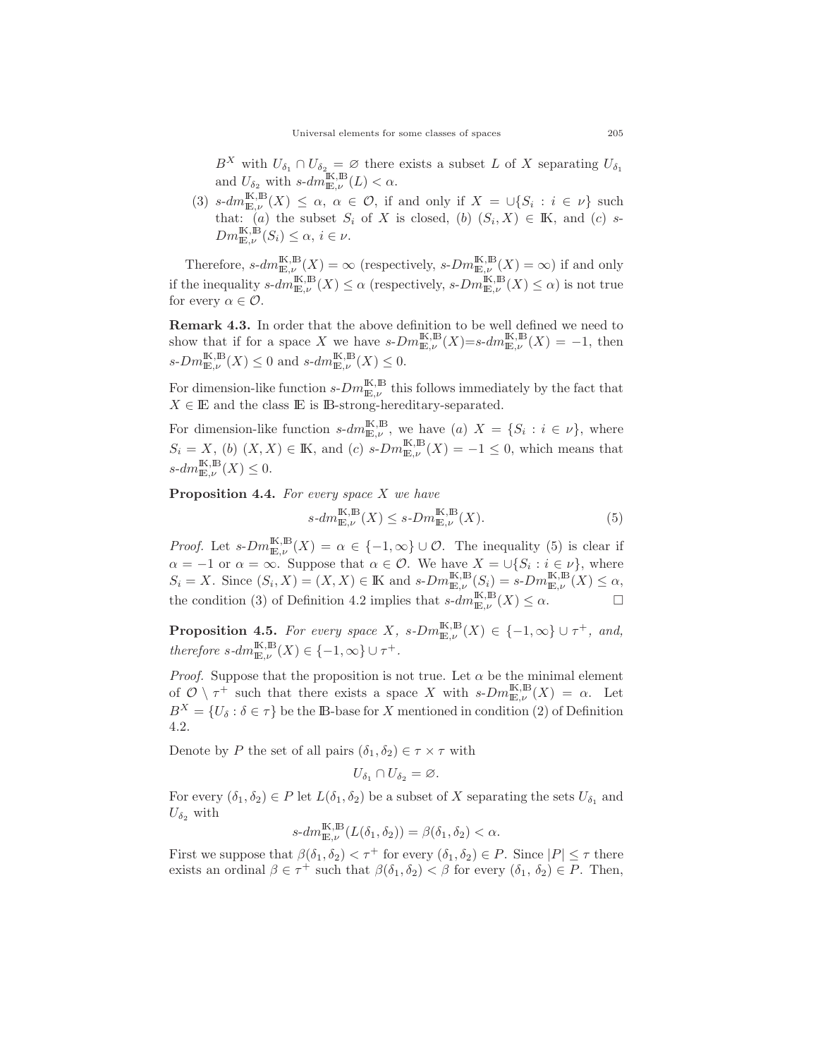$B^X$  with  $U_{\delta_1} \cap U_{\delta_2} = \emptyset$  there exists a subset L of X separating  $U_{\delta_1}$ and  $U_{\delta_2}$  with  $s\text{-}dm_{\mathbb{E},\nu}^{\mathbb{K},\mathbb{B}}(L) < \alpha$ .

(3)  $s\text{-}dm_{\mathbb{E},\nu}^{K,\mathbb{B}}(X) \leq \alpha, \ \alpha \in \mathcal{O}$ , if and only if  $X = \bigcup\{S_i : i \in \nu\}$  such that: (a) the subset  $S_i$  of X is closed, (b)  $(S_i, X) \in \mathbb{K}$ , and (c) s- $Dm_{\mathbb{E},\nu}^{\mathbb{K},\mathbb{B}}(S_i) \leq \alpha, i \in \nu.$ 

Therefore,  $s$ - $dm_{\mathbb{E},\nu}^{\mathbb{K},\mathbb{B}}(X) = \infty$  (respectively,  $s$ - $Dm_{\mathbb{E},\nu}^{\mathbb{K},\mathbb{B}}(X) = \infty$ ) if and only if the inequality  $s$ - $dm_{\mathbb{E},\nu}^{\mathbb{K},\mathbb{B}}(X) \le \alpha$  (respectively,  $s$ - $Dm_{\mathbb{E},\nu}^{\mathbb{K},\mathbb{B}}(X) \le \alpha$ ) is not true for every  $\alpha \in \mathcal{O}$ .

Remark 4.3. In order that the above definition to be well defined we need to show that if for a space X we have  $s$ - $Dm_{\mathbb{E},\nu}^{\mathbb{K},\mathbb{B}}(X)=s$ - $dm_{\mathbb{E},\nu}^{\mathbb{K},\mathbb{B}}(X)=-1$ , then  $s\text{-}Dm_{\mathbb{E},\nu}^{\mathbb{K},\mathbb{B}}(X) \leq 0$  and  $s\text{-}dm_{\mathbb{E},\nu}^{\mathbb{K},\mathbb{B}}(X) \leq 0$ .

For dimension-like function  $s$ - $Dm_{\mathbb{E},\nu}^{\mathbb{K},\mathbb{B}}$  this follows immediately by the fact that  $X \in \mathbb{E}$  and the class  $\mathbb{E}$  is B-strong-hereditary-separated.

For dimension-like function  $s$ - $dm_{\mathbb{E},\nu}^{\mathbb{K},\mathbb{B}},$  we have  $(a)$   $X = \{S_i : i \in \nu\}$ , where  $S_i = X$ , (b)  $(X, X) \in \mathbb{K}$ , and (c)  $s$ - $Dm_{\mathbb{E},\nu}^{\mathbb{K},\mathbb{B}}(X) = -1 \leq 0$ , which means that  $s\text{-}dm_{\mathbb{E},\nu}^{\mathbb{K},\mathbb{B}}(X) \leq 0.$ 

**Proposition 4.4.** For every space  $X$  we have

$$
s\text{-}dm_{\mathbb{E},\nu}^{\mathbb{K},\mathbb{B}}(X) \leq s\text{-}Dm_{\mathbb{E},\nu}^{\mathbb{K},\mathbb{B}}(X). \tag{5}
$$

*Proof.* Let  $s$ - $Dm_{\mathbb{E},\nu}^{\mathbb{K},\mathbb{B}}(X) = \alpha \in \{-1,\infty\} \cup \mathcal{O}$ . The inequality (5) is clear if  $\alpha = -1$  or  $\alpha = \infty$ . Suppose that  $\alpha \in \mathcal{O}$ . We have  $X = \bigcup \{S_i : i \in \nu\}$ , where  $S_i = X$ . Since  $(S_i, X) = (X, X) \in \mathbb{K}$  and  $s\text{-}Dm_{\mathbb{E},\nu}^{\mathbb{K},\mathbb{B}}(S_i) = s\text{-}Dm_{\mathbb{E},\nu}^{\mathbb{K},\mathbb{B}}(X) \leq \alpha$ , the condition (3) of Definition 4.2 implies that  $s\text{-}dm_{\mathbb{E},\nu}^{\mathbb{K},\mathbb{B}}(X) \leq \alpha$ .

**Proposition 4.5.** For every space X,  $s$ - $Dm_{\mathbb{E},\nu}^{\mathbb{K},\mathbb{B}}(X) \in \{-1,\infty\} \cup \tau^+$ , and, therefore  $s \text{-} dm_{\mathbb{E},\nu}^{\mathbb{K},\mathbb{B}}(X) \in \{-1,\infty\} \cup \tau^+.$ 

*Proof.* Suppose that the proposition is not true. Let  $\alpha$  be the minimal element of  $\mathcal{O} \setminus \tau^+$  such that there exists a space X with  $s$ - $Dm_{\mathbb{E},\nu}^{\mathbb{K},\mathbb{B}}(X) = \alpha$ . Let  $B^X = \{U_\delta : \delta \in \tau\}$  be the IB-base for X mentioned in condition (2) of Definition 4.2.

Denote by P the set of all pairs  $(\delta_1, \delta_2) \in \tau \times \tau$  with

$$
U_{\delta_1} \cap U_{\delta_2} = \varnothing.
$$

For every  $(\delta_1, \delta_2) \in P$  let  $L(\delta_1, \delta_2)$  be a subset of X separating the sets  $U_{\delta_1}$  and  $U_{\delta_2}$  with

$$
s\text{-}dm_{\mathbb{E},\nu}^{\mathbb{K},\mathbb{B}}(L(\delta_1,\delta_2))=\beta(\delta_1,\delta_2)<\alpha.
$$

First we suppose that  $\beta(\delta_1, \delta_2) < \tau^+$  for every  $(\delta_1, \delta_2) \in P$ . Since  $|P| \leq \tau$  there exists an ordinal  $\beta \in \tau^+$  such that  $\beta(\delta_1, \delta_2) < \beta$  for every  $(\delta_1, \delta_2) \in P$ . Then,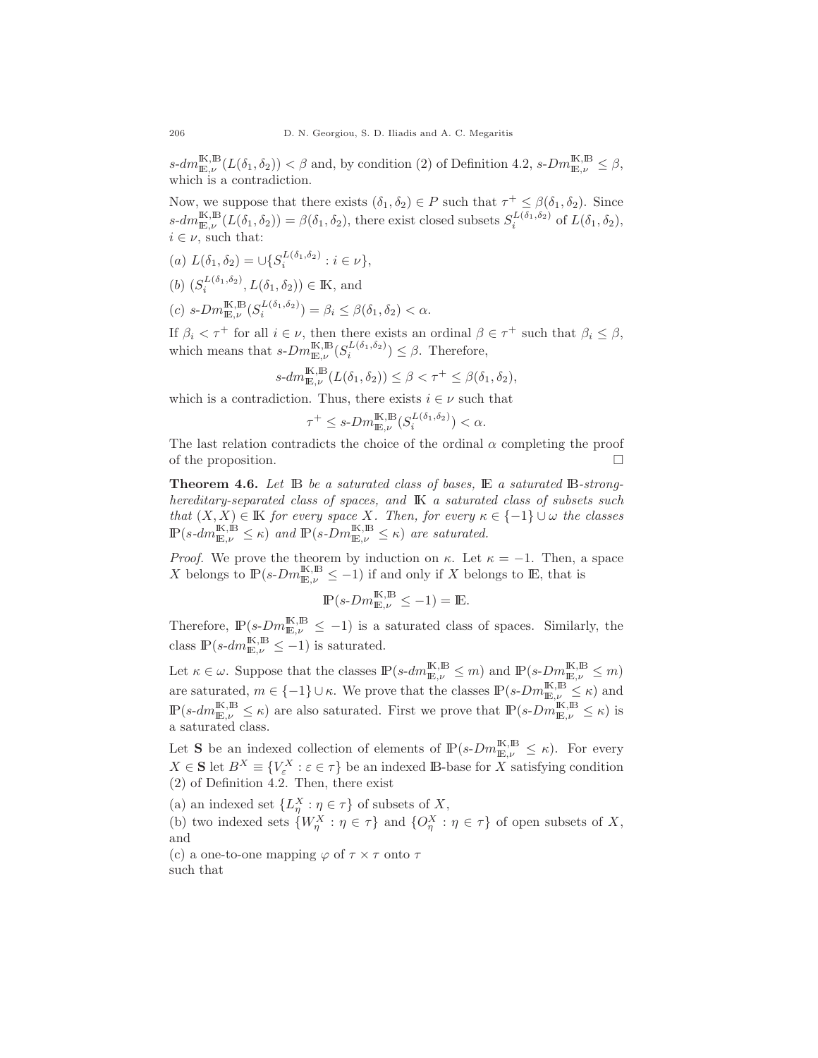$s\text{-}dm_{\mathbb{E},\nu}^{\mathbb{K},\mathbb{B}}(L(\delta_1,\delta_2)) < \beta$  and, by condition (2) of Definition 4.2,  $s\text{-}Dm_{\mathbb{E},\nu}^{\mathbb{K},\mathbb{B}} \leq \beta$ , which is a contradiction.

Now, we suppose that there exists  $(\delta_1, \delta_2) \in P$  such that  $\tau^+ \leq \beta(\delta_1, \delta_2)$ . Since  $s\text{-}dm_{\mathbb{E},\nu}^{\mathbb{K},\mathbb{B}}(L(\delta_1,\delta_2)) = \beta(\delta_1,\delta_2), \text{ there exist closed subsets } S_i^{L(\delta_1,\delta_2)} \text{ of } L(\delta_1,\delta_2),$  $i \in \nu$ , such that:

- (a)  $L(\delta_1, \delta_2) = \cup \{ S_i^{L(\delta_1, \delta_2)} : i \in \nu \},\$
- (*b*)  $(S_i^{L(\delta_1, \delta_2)}, L(\delta_1, \delta_2)) \in \mathbb{K}$ , and
- (c)  $s\text{-}Dm_{\mathbb{E},\nu}^{\mathbb{K},\mathbb{B}}(S_i^{L(\delta_1,\delta_2)}) = \beta_i \leq \beta(\delta_1,\delta_2) < \alpha.$

If  $\beta_i < \tau^+$  for all  $i \in \nu$ , then there exists an ordinal  $\beta \in \tau^+$  such that  $\beta_i \leq \beta$ , which means that  $s$ - $Dm_{\mathbb{E},\nu}^{\mathbb{K},\mathbb{B}}(S_i^{L(\delta_1,\delta_2)}) \leq \beta$ . Therefore,

$$
s\text{-}dm_{\mathbb{E},\nu}^{\mathbb{K},\mathbb{B}}(L(\delta_1,\delta_2)) \leq \beta < \tau^+ \leq \beta(\delta_1,\delta_2),
$$

which is a contradiction. Thus, there exists  $i \in \nu$  such that

$$
\tau^+ \le s \cdot Dm_{\mathbb{E},\nu}^{\mathbb{K},\mathbb{B}}(S_i^{L(\delta_1,\delta_2)}) < \alpha.
$$

The last relation contradicts the choice of the ordinal  $\alpha$  completing the proof of the proposition.

**Theorem 4.6.** Let  $\mathbb B$  be a saturated class of bases,  $\mathbb E$  a saturated  $\mathbb B$ -stronghereditary-separated class of spaces, and  $\mathbb{K}$  a saturated class of subsets such that  $(X, X) \in \mathbb{K}$  for every space X. Then, for every  $\kappa \in \{-1\} \cup \omega$  the classes  $\mathbb{P}(s\text{-}dm_{\mathbb{E},\nu}^{\mathbb{K},\mathbb{B}} \leq \kappa)$  and  $\mathbb{P}(s\text{-}Dm_{\mathbb{E},\nu}^{\mathbb{K},\mathbb{B}} \leq \kappa)$  are saturated.

*Proof.* We prove the theorem by induction on  $\kappa$ . Let  $\kappa = -1$ . Then, a space X belongs to  $\mathbb{P}(s\text{-}Dm_{\mathbb{E},\nu}^{\mathbb{K},\mathbb{B}}\leq -1)$  if and only if X belongs to E, that is

$$
\mathbb{P}(s\text{-}Dm_{\mathbb{E},\nu}^{\mathbb{K},\mathbb{B}} \leq -1) = \mathbb{E}.
$$

Therefore,  $\mathbb{P}(s\text{-}Dm_{\mathbb{E},\nu}^{\mathbb{K},\mathbb{B}} \leq -1)$  is a saturated class of spaces. Similarly, the class  $\mathbb{P}(s\text{-}dm_{\mathbb{E},\nu}^{\mathbb{K},\mathbb{B}} \leq -1)$  is saturated.

Let  $\kappa \in \omega$ . Suppose that the classes  $\mathbb{P}(s \text{-} dm_{\mathbb{E},\nu}^{\mathbb{K},\mathbb{B}} \leq m)$  and  $\mathbb{P}(s \text{-} D m_{\mathbb{E},\nu}^{\mathbb{K},\mathbb{B}} \leq m)$ are saturated,  $m \in \{-1\} \cup \kappa$ . We prove that the classes  $\mathbb{P}(s\text{-}Dm_{\mathbb{E},\nu}^{\mathbb{K},\mathbb{B}} \leq \kappa)$  and  $\mathbb{P}(s\text{-}dm_{\mathbb{E},\nu}^{\mathbb{K},\mathbb{B}}\leq\kappa)$  are also saturated. First we prove that  $\mathbb{P}(s\text{-}Dm_{\mathbb{E},\nu}^{\mathbb{K},\mathbb{B}}\leq\kappa)$  is a saturated class.

Let **S** be an indexed collection of elements of  $\mathbb{P}(s\text{-}Dm_{\mathbb{E},\nu}^{\mathbb{K},\mathbb{B}} \leq \kappa)$ . For every  $X \in \mathbf{S}$  let  $B^X \equiv \{V_{\varepsilon}^X : \varepsilon \in \tau\}$  be an indexed B-base for X satisfying condition (2) of Definition 4.2. Then, there exist

(a) an indexed set  $\{L_{\eta}^X : \eta \in \tau\}$  of subsets of X,

(b) two indexed sets  $\{W^X_\eta : \eta \in \tau\}$  and  $\{O^X_\eta : \eta \in \tau\}$  of open subsets of X, and

(c) a one-to-one mapping  $\varphi$  of  $\tau \times \tau$  onto  $\tau$ such that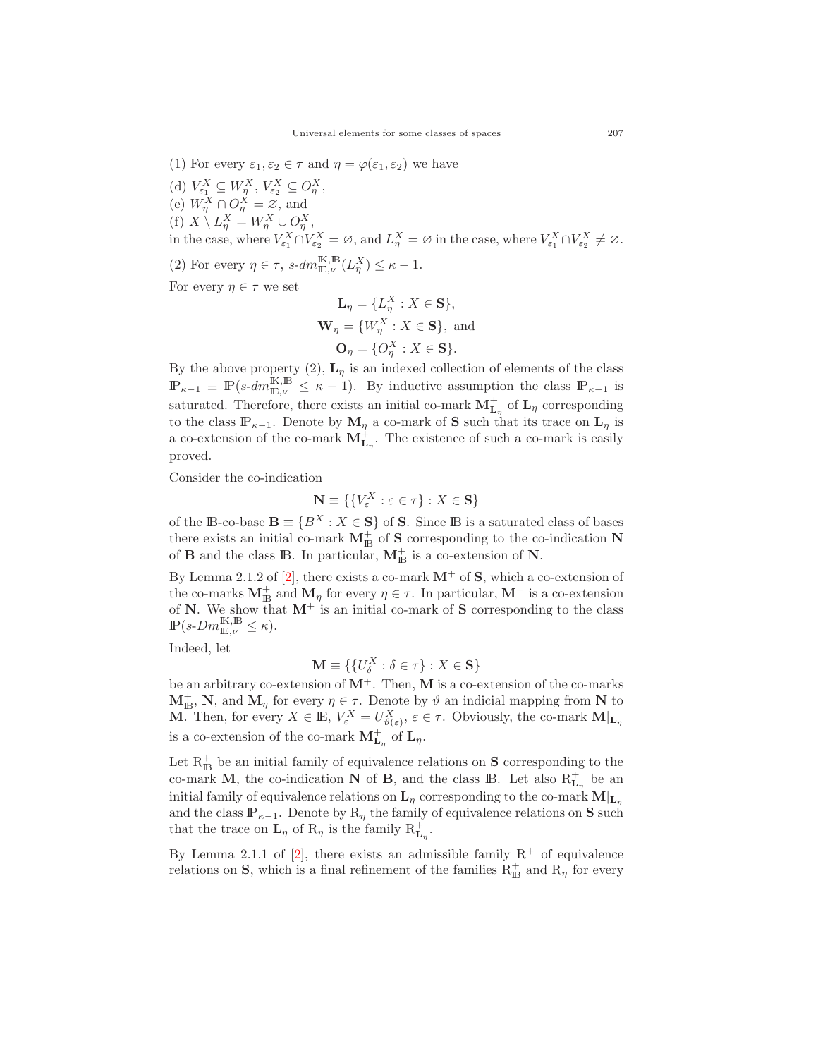(1) For every  $\varepsilon_1, \varepsilon_2 \in \tau$  and  $\eta = \varphi(\varepsilon_1, \varepsilon_2)$  we have (d)  $V_{\varepsilon_1}^X \subseteq W_{\eta}^X$ ,  $V_{\varepsilon_2}^X \subseteq O_{\eta}^X$ , (e)  $W_{\eta}^X \cap O_{\eta}^X = \varnothing$ , and (f)  $X \setminus L^X_\eta = W^X_\eta \cup O^X_\eta,$ in the case, where  $V_{\varepsilon_1}^X \cap V_{\varepsilon_2}^X = \varnothing$ , and  $L_{\eta}^X = \varnothing$  in the case, where  $V_{\varepsilon_1}^X \cap V_{\varepsilon_2}^X \neq \varnothing$ . (2) For every  $\eta \in \tau$ ,  $s \text{-} dm_{\mathbb{E},\nu}^{\mathbb{K},\mathbb{B}}(L_{\eta}^X) \leq \kappa - 1$ .

For every  $\eta \in \tau$  we set

$$
\mathbf{L}_{\eta} = \{L_{\eta}^X : X \in \mathbf{S}\},
$$
  

$$
\mathbf{W}_{\eta} = \{W_{\eta}^X : X \in \mathbf{S}\}, \text{ and}
$$
  

$$
\mathbf{O}_{\eta} = \{O_{\eta}^X : X \in \mathbf{S}\}.
$$

By the above property (2),  $\mathbf{L}_{\eta}$  is an indexed collection of elements of the class  $\mathbb{P}_{\kappa-1} \equiv \mathbb{P}(s \text{-} dm_{\mathbb{E},\nu}^{\mathbb{K},\mathbb{B}} \leq \kappa-1)$ . By inductive assumption the class  $\mathbb{P}_{\kappa-1}$  is saturated. Therefore, there exists an initial co-mark  $\mathbf{M}^{+}_{\mathbf{L}_{\eta}}$  of  $\mathbf{L}_{\eta}$  corresponding to the class  $\mathbb{P}_{\kappa-1}$ . Denote by  $\mathbf{M}_{\eta}$  a co-mark of **S** such that its trace on  $\mathbf{L}_{\eta}$  is a co-extension of the co-mark  $M_{L_n}^+$ . The existence of such a co-mark is easily proved.

Consider the co-indication

$$
\mathbf{N} \equiv \{ \{ V_{\varepsilon}^X : \varepsilon \in \tau \} : X \in \mathbf{S} \}
$$

of the IB-co-base  $\mathbf{B} \equiv \{B^X : X \in \mathbf{S}\}\$  of S. Since IB is a saturated class of bases there exists an initial co-mark  $\mathbf{M}_{\mathrm{B}}^{+}$  of  $\mathbf S$  corresponding to the co-indication  $\mathbf N$ of **B** and the class **IB**. In particular,  $M_{\mathbb{B}}^{+}$  is a co-extension of **N**.

By Lemma 2.1.2 of [\[2\]](#page-18-4), there exists a co-mark  $M^+$  of S, which a co-extension of the co-marks  $M_{IB}^+$  and  $M_{\eta}$  for every  $\eta \in \tau$ . In particular,  $M^+$  is a co-extension of N. We show that  $M^+$  is an initial co-mark of S corresponding to the class  $\mathbb{P}(s\text{-}Dm_{\mathbb{E},\nu}^{\mathbb{K},\mathbb{B}} \leq \kappa).$ 

Indeed, let

$$
\mathbf{M} \equiv \{ \{ U^X_\delta : \delta \in \tau \} : X \in \mathbf{S} \}
$$

be an arbitrary co-extension of  $M^+$ . Then, M is a co-extension of the co-marks  $M_{\mathbb{B}}^{+}$ , N, and  $M_{\eta}$  for every  $\eta \in \tau$ . Denote by  $\vartheta$  an indicial mapping from N to **M**. Then, for every  $X \in \mathbb{E}$ ,  $V_{\varepsilon}^X = U_{\vartheta(\varepsilon)}^X$ ,  $\varepsilon \in \tau$ . Obviously, the co-mark  $\mathbf{M}|_{\mathbf{L}_{\eta}}$ is a co-extension of the co-mark  $\mathbf{M}^{\text{+}}_{\mathbf{L}_{\eta}}$  of  $\mathbf{L}_{\eta}$ .

Let  $R_{\mathbb{B}}^{+}$  be an initial family of equivalence relations on  $\mathbf S$  corresponding to the co-mark **M**, the co-indication **N** of **B**, and the class **IB**. Let also  $R_{L_{\eta}}^{+}$  be an initial family of equivalence relations on  $L_{\eta}$  corresponding to the co-mark  $M|_{L_{\eta}}$ and the class  $\mathbb{P}_{\kappa-1}$ . Denote by  $\mathbb{R}_{\eta}$  the family of equivalence relations on S such that the trace on  $\mathbf{L}_{\eta}$  of  $\mathbf{R}_{\eta}$  is the family  $\mathbf{R}_{\mathbf{L}_{\eta}}^{+}$ .

By Lemma 2.1.1 of [\[2\]](#page-18-4), there exists an admissible family  $R^+$  of equivalence relations on  $S$ , which is a final refinement of the families  $R_{\mathbb{B}}^{+}$  and  $R_{\eta}$  for every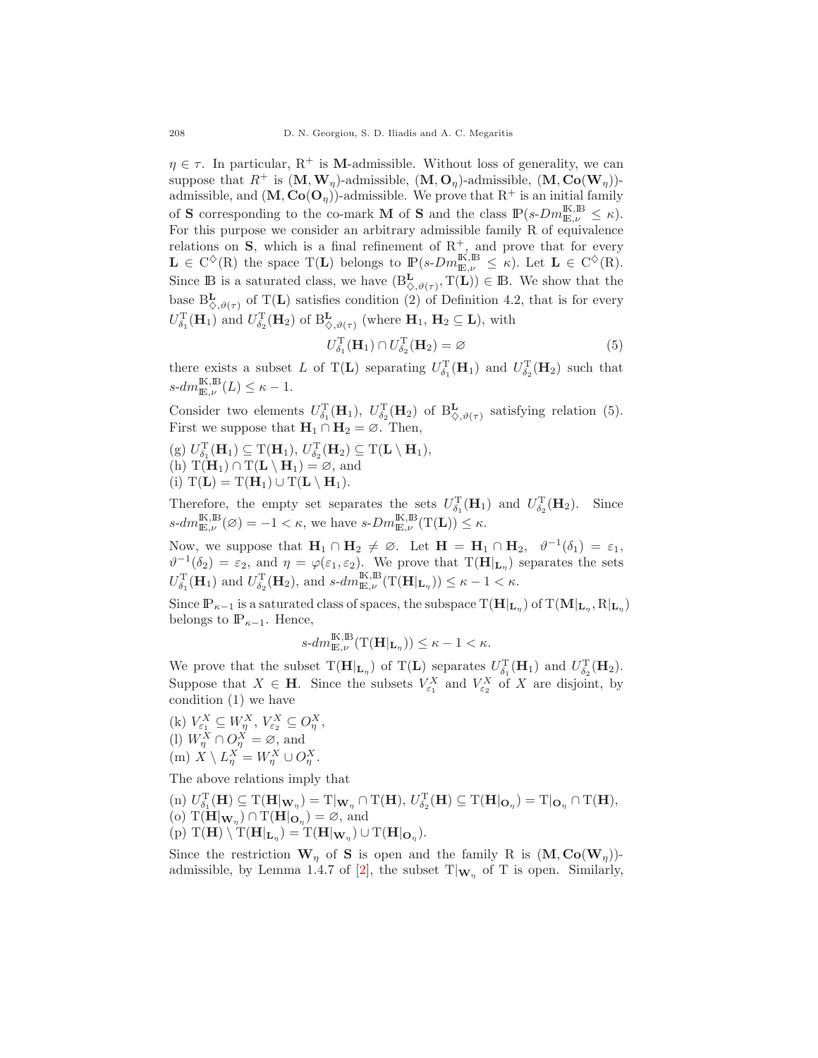$\eta \in \tau$ . In particular,  $R^+$  is M-admissible. Without loss of generality, we can suppose that  $R^+$  is  $(M, W_n)$ -admissible,  $(M, O_n)$ -admissible,  $(M, Co(W_n))$ admissible, and  $(M, Co(O_{\eta}))$ -admissible. We prove that  $R^{+}$  is an initial family of **S** corresponding to the co-mark **M** of **S** and the class  $\mathbb{P}(s\text{-}Dm_{\mathbb{E},\nu}^{\mathbb{K},\mathbb{B}} \leq \kappa)$ . For this purpose we consider an arbitrary admissible family R of equivalence relations on  $S$ , which is a final refinement of  $R^+$ , and prove that for every  $\mathbf{L} \in C^{\diamond}(R)$  the space  $T(\mathbf{L})$  belongs to  $\mathbb{P}(s\text{-}Dm_{\mathbb{E},\nu}^{\mathbb{K},\mathbb{B}} \leq \kappa)$ . Let  $\mathbf{L} \in C^{\diamond}(R)$ . Since **IB** is a saturated class, we have  $(B_{\diamondsuit,\vartheta(\tau)}^{\mathbf{L}},\mathcal{T}(\mathbf{L}))\in\mathbb{B}$ . We show that the base  $B_{\diamondsuit,\vartheta(\tau)}^{\mathbf{L}}$  of  $T(\mathbf{L})$  satisfies condition (2) of Definition 4.2, that is for every  $U_{\delta_1}^{\mathrm{T}}(\mathbf{H}_1)$  and  $U_{\delta_2}^{\mathrm{T}}(\mathbf{H}_2)$  of  $B_{\diamondsuit,\vartheta(\tau)}^{\mathbf{L}}$  (where  $\mathbf{H}_1, \mathbf{H}_2 \subseteq \mathbf{L}$ ), with

$$
U_{\delta_1}^{\mathrm{T}}(\mathbf{H}_1) \cap U_{\delta_2}^{\mathrm{T}}(\mathbf{H}_2) = \varnothing \tag{5}
$$

there exists a subset L of T(L) separating  $U_{\delta_1}^{\text{T}}(\mathbf{H}_1)$  and  $U_{\delta_2}^{\text{T}}(\mathbf{H}_2)$  such that  $s\text{-}dm_{\mathbb{E},\nu}^{\mathbb{K},\mathbb{B}}(L) \leq \kappa - 1.$ 

Consider two elements  $U_{\delta_1}^{\rm T}(\mathbf{H}_1)$ ,  $U_{\delta_2}^{\rm T}(\mathbf{H}_2)$  of  $B_{\diamondsuit,\vartheta(\tau)}^{\rm L}$  satisfying relation (5). First we suppose that  $H_1 \cap H_2 = \emptyset$ . Then,

(g)  $U_{\delta_1}^{\mathrm{T}}(\mathbf{H}_1) \subseteq \mathrm{T}(\mathbf{H}_1), U_{\delta_2}^{\mathrm{T}}(\mathbf{H}_2) \subseteq \mathrm{T}(\mathbf{L} \setminus \mathbf{H}_1),$ (h)  $T(\mathbf{H}_1) \cap T(\mathbf{L} \setminus \mathbf{H}_1) = \emptyset$ , and (i)  $T(\mathbf{L}) = T(\mathbf{H}_1) \cup T(\mathbf{L} \setminus \mathbf{H}_1).$ 

Therefore, the empty set separates the sets  $U_{\delta_1}^{\mathrm{T}}(\mathbf{H}_1)$  and  $U_{\delta_2}^{\mathrm{T}}(\mathbf{H}_2)$ . Since  $s\text{-}dm_{\mathbb{E},\nu}^{\mathbb{K},\mathbb{B}}(\varnothing) = -1 < \kappa$ , we have  $s\text{-}Dm_{\mathbb{E},\nu}^{\mathbb{K},\mathbb{B}}(\mathcal{T}(\mathbf{L})) \leq \kappa$ .

Now, we suppose that  $H_1 \cap H_2 \neq \emptyset$ . Let  $H = H_1 \cap H_2$ ,  $\vartheta^{-1}(\delta_1) = \varepsilon_1$ ,  $\vartheta^{-1}(\delta_2) = \varepsilon_2$ , and  $\eta = \varphi(\varepsilon_1, \varepsilon_2)$ . We prove that  $T(\mathbf{H}|_{\mathbf{L}_\eta})$  separates the sets  $U_{\delta_1}^{\mathrm{T}}(\mathbf{H}_1)$  and  $U_{\delta_2}^{\mathrm{T}}(\mathbf{H}_2)$ , and  $s\text{-}dm_{\mathbb{E},\nu}^{\mathbb{K},\mathbb{B}}(\mathrm{T}(\mathbf{H}|_{\mathbf{L}_{\eta}})) \leq \kappa - 1 < \kappa$ .

Since  $\mathbb{P}_{\kappa-1}$  is a saturated class of spaces, the subspace  $\mathrm{T}(\mathbf{H}|_{\mathbf{L}_{\eta}})$  of  $\mathrm{T}(\mathbf{M}|_{\mathbf{L}_{\eta}}, \mathrm{R}|_{\mathbf{L}_{\eta}})$ belongs to  $\mathbb{P}_{\kappa-1}$ . Hence,

$$
s\text{-}dm_{\mathbb{E},\nu}^{\mathbb{K},\mathbb{B}}(\mathcal{T}(\mathbf{H}|_{\mathbf{L}_{\eta}})) \leq \kappa - 1 < \kappa.
$$

We prove that the subset  $T(\mathbf{H}|_{\mathbf{L}_{\eta}})$  of  $T(\mathbf{L})$  separates  $U_{\delta_1}^T(\mathbf{H}_1)$  and  $U_{\delta_2}^T(\mathbf{H}_2)$ . Suppose that  $X \in \mathbf{H}$ . Since the subsets  $V_{\varepsilon_1}^X$  and  $V_{\varepsilon_2}^X$  of X are disjoint, by condition (1) we have

(k) 
$$
V_{\varepsilon_1}^X \subseteq W_{\eta}^X
$$
,  $V_{\varepsilon_2}^X \subseteq O_{\eta}^X$ ,  
\n(l)  $W_{\eta}^X \cap O_{\eta}^X = \varnothing$ , and  
\n(m)  $X \setminus L_{\eta}^X = W_{\eta}^X \cup O_{\eta}^X$ .

The above relations imply that

(n)  $U_{\delta_1}^{\mathrm{T}}(\mathbf{H}) \subseteq \mathrm{T}(\mathbf{H}|\mathbf{w}_\eta) = \mathrm{T}|\mathbf{w}_\eta \cap \mathrm{T}(\mathbf{H}), U_{\delta_2}^{\mathrm{T}}(\mathbf{H}) \subseteq \mathrm{T}(\mathbf{H}|\mathbf{o}_\eta) = \mathrm{T}|\mathbf{o}_\eta \cap \mathrm{T}(\mathbf{H}),$ (o)  $T(\mathbf{H}|\mathbf{w}_n) \cap T(\mathbf{H}|\mathbf{o}_n) = \varnothing$ , and (p)  $T(H) \setminus T(H|_{L_{\eta}}) = T(H|_{W_{\eta}}) \cup T(H|_{O_{\eta}}).$ 

Since the restriction  $\mathbf{W}_\eta$  of **S** is open and the family R is  $(\mathbf{M}, \mathbf{Co}(\mathbf{W}_\eta))$ -admissible, by Lemma 1.4.7 of [\[2\]](#page-18-4), the subset  $T|\mathbf{w}_n$  of T is open. Similarly,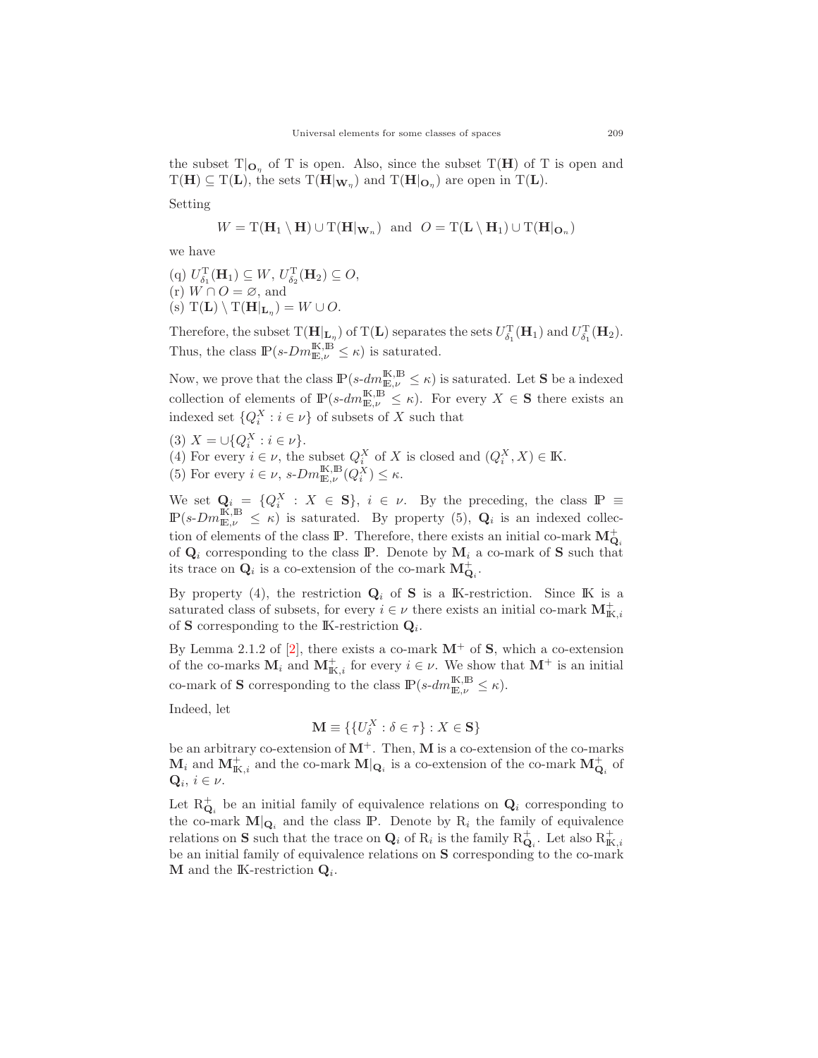the subset  $T|_{\mathbf{O}_n}$  of T is open. Also, since the subset  $T(\mathbf{H})$  of T is open and  $T(H) \subseteq T(L)$ , the sets  $T(H|_{\mathbf{W}_{\eta}})$  and  $T(H|_{\mathbf{O}_{\eta}})$  are open in  $T(L)$ .

Setting

$$
W = \text{T}(\mathbf{H}_1 \setminus \mathbf{H}) \cup \text{T}(\mathbf{H}|_{\mathbf{W}_n}) \text{ and } O = \text{T}(\mathbf{L} \setminus \mathbf{H}_1) \cup \text{T}(\mathbf{H}|_{\mathbf{O}_n})
$$

we have

(q)  $U_{\delta_1}^{\mathrm{T}}(\mathbf{H}_1) \subseteq W, U_{\delta_2}^{\mathrm{T}}(\mathbf{H}_2) \subseteq O,$  $(r) W \cap O = \emptyset$ , and (s)  $T(L) \setminus T(H|_{L_{\eta}}) = W \cup O.$ 

Therefore, the subset  $T(H|_{L_{\eta}})$  of  $T(L)$  separates the sets  $U_{\delta_1}^T(H_1)$  and  $U_{\delta_1}^T(H_2)$ . Thus, the class  $\mathbb{P}(s\text{-}Dm_{\mathbb{E},\nu}^{\mathbb{K},\mathbb{B}} \leq \kappa)$  is saturated.

Now, we prove that the class  $\mathbb{P}(s\text{-}dm_{\mathbb{E},\nu}^{\mathbb{K},\mathbb{B}} \leq \kappa)$  is saturated. Let **S** be a indexed collection of elements of  $\mathbb{P}(s\text{-}dm_{\mathbb{E},\nu}^{\mathbb{K},\mathbb{B}} \leq \kappa)$ . For every  $X \in \mathbf{S}$  there exists an indexed set  $\{Q_i^X : i \in \nu\}$  of subsets of X such that

- (3)  $X = \cup \{Q_i^X : i \in \nu\}.$
- (4) For every  $i \in \nu$ , the subset  $Q_i^X$  of X is closed and  $(Q_i^X, X) \in \mathbb{K}$ .
- (5) For every  $i \in \nu$ ,  $s$ - $Dm_{\mathbb{E},\nu}^{\mathbb{K},\mathbb{B}}(Q_i^X) \leq \kappa$ .

We set  $\mathbf{Q}_i = \{Q_i^X : X \in \mathbf{S}\}, i \in \nu$ . By the preceding, the class  $\mathbf{P} \equiv$  $\mathbb{P}(s\text{-}Dm_{\mathbb{E},\nu}^{\mathbb{K},\mathbb{B}} \leq \kappa)$  is saturated. By property (5),  $\mathbf{Q}_i$  is an indexed collection of elements of the class **IP**. Therefore, there exists an initial co-mark  $M_{\mathbf{Q}_i}^+$ of  $\mathbf{Q}_i$  corresponding to the class **IP**. Denote by  $\mathbf{M}_i$  a co-mark of **S** such that its trace on  $\mathbf{Q}_i$  is a co-extension of the co-mark  $\mathbf{M}_{\mathbf{Q}_i}^+$ .

By property (4), the restriction  $\mathbf{Q}_i$  of S is a IK-restriction. Since IK is a saturated class of subsets, for every  $i \in \nu$  there exists an initial co-mark  $\mathbf{M}^+_{\mathbf{K},i}$ of S corresponding to the IK-restriction  $Q_i$ .

By Lemma 2.1.2 of [\[2\]](#page-18-4), there exists a co-mark  $M^+$  of S, which a co-extension of the co-marks  $\mathbf{M}_i$  and  $\mathbf{M}_{\mathbb{K},i}^+$  for every  $i \in \nu$ . We show that  $\mathbf{M}^+$  is an initial co-mark of **S** corresponding to the class  $\mathbb{P}(s \text{-} dm_{\mathbb{E},\nu}^{\mathbb{K},\mathbb{B}} \leq \kappa)$ .

Indeed, let

$$
\mathbf{M} \equiv \{ \{ U_{\delta}^X : \delta \in \tau \} : X \in \mathbf{S} \}
$$

be an arbitrary co-extension of  $M^+$ . Then, M is a co-extension of the co-marks  $M_i$  and  $M_{\text{IK},i}^+$  and the co-mark  $M|_{\text{Q}_i}$  is a co-extension of the co-mark  $M_{\text{Q}_i}^+$  of  $\mathbf{Q}_i, i \in \nu$ .

Let  $R_{\mathbf{Q}_i}^+$  be an initial family of equivalence relations on  $\mathbf{Q}_i$  corresponding to the co-mark  $M|_{Q_i}$  and the class  $P$ . Denote by  $R_i$  the family of equivalence relations on **S** such that the trace on  $\mathbf{Q}_i$  of  $\mathbf{R}_i$  is the family  $\mathbf{R}_{\mathbf{Q}_i}^+$ . Let also  $\mathbf{R}_{\mathbf{K},i}^+$ be an initial family of equivalence relations on S corresponding to the co-mark **M** and the **IK**-restriction  $Q_i$ .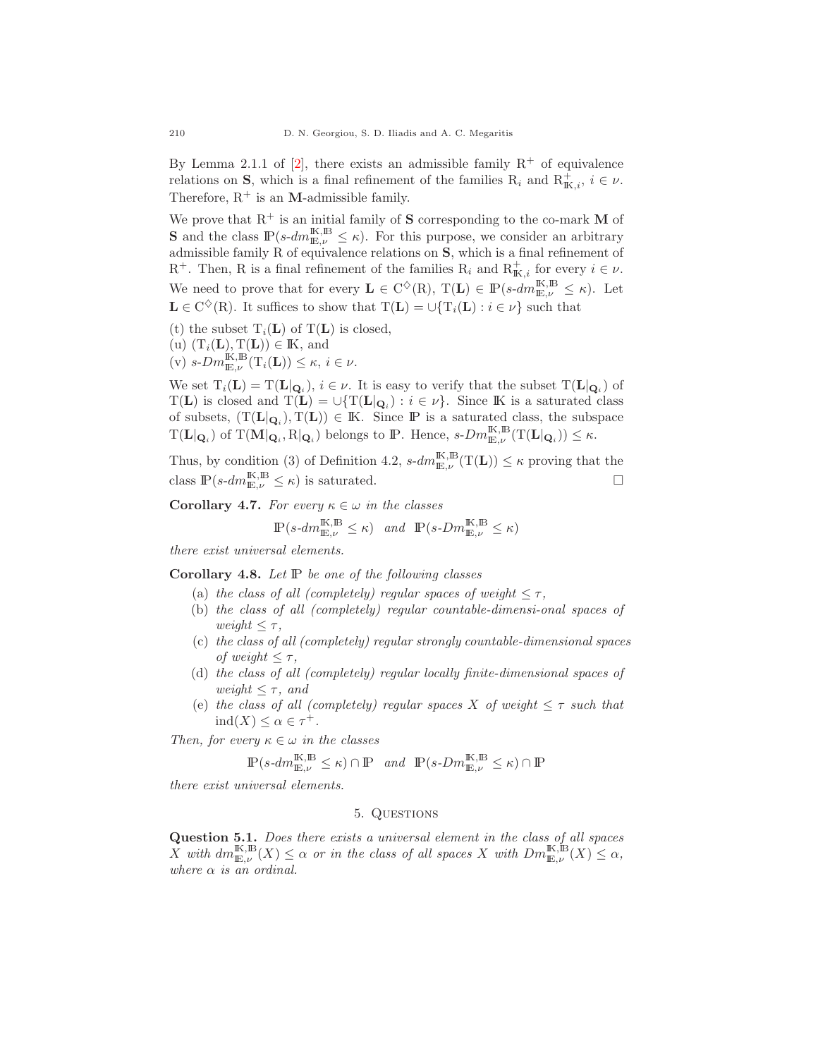By Lemma 2.1.1 of [\[2\]](#page-18-4), there exists an admissible family  $R^+$  of equivalence relations on **S**, which is a final refinement of the families  $R_i$  and  $R_{\mathbb{K},i}^+$ ,  $i \in \nu$ . Therefore,  $R^+$  is an M-admissible family.

We prove that  $R^+$  is an initial family of **S** corresponding to the co-mark **M** of **S** and the class  $\mathbb{P}(s\text{-}dm_{\mathbb{E},\nu}^{\mathbb{K},\mathbb{B}} \leq \kappa)$ . For this purpose, we consider an arbitrary admissible family R of equivalence relations on S, which is a final refinement of R<sup>+</sup>. Then, R is a final refinement of the families  $R_i$  and  $R_{\mathbb{K},i}^+$  for every  $i \in \nu$ . We need to prove that for every  $\mathbf{L} \in C^{\diamond}(R)$ ,  $T(\mathbf{L}) \in \mathbb{P}(s \text{-} dm_{\mathbb{E},\nu}^{\mathbb{K},\mathbb{B}} \leq \kappa)$ . Let  $\mathbf{L} \in C^{\diamond}(R)$ . It suffices to show that  $T(\mathbf{L}) = \bigcup \{T_i(\mathbf{L}) : i \in \nu\}$  such that

- (t) the subset  $T_i(L)$  of  $T(L)$  is closed,
- (u)  $(T_i(L), T(L)) \in \mathbb{K}$ , and
- (v)  $s\text{-}Dm_{\mathbb{E},\nu}^{\mathbb{K},\mathbb{B}}(\mathrm{T}_i(\mathbf{L})) \leq \kappa, i \in \nu.$

We set  $T_i(L) = T(L|_{Q_i}), i \in \nu$ . It is easy to verify that the subset  $T(L|_{Q_i})$  of  $T(L)$  is closed and  $T(L) = \cup \{T(L|_{\mathbf{Q}_i}) : i \in \nu\}$ . Since IK is a saturated class of subsets,  $(T(L|_{\mathbf{Q}_i}), T(L)) \in \mathbb{K}$ . Since P is a saturated class, the subspace  $T(L|_{\mathbf{Q}_i})$  of  $T(M|_{\mathbf{Q}_i}, R|_{\mathbf{Q}_i})$  belongs to P. Hence,  $s$ - $Dm_{\mathbf{E},\nu}^{\text{IK},\text{B}}(T(L|_{\mathbf{Q}_i})) \leq \kappa$ .

Thus, by condition (3) of Definition 4.2,  $s$ - $dm_{\mathbb{E},\nu}^{\mathbb{K},\mathbb{B}}(T(\mathbf{L})) \leq \kappa$  proving that the class  $\mathbb{P}(s \text{-} dm_{\mathbb{E},\nu}^{\mathbb{K},\mathbb{B}} \leq \kappa)$  is saturated.

Corollary 4.7. For every  $\kappa \in \omega$  in the classes

$$
\mathbb{P}(s \text{-} dm_{\mathbb{E}, \nu}^{\mathbb{K}, \mathbb{B}} \le \kappa) \quad \text{and} \quad \mathbb{P}(s \text{-} D m_{\mathbb{E}, \nu}^{\mathbb{K}, \mathbb{B}} \le \kappa)
$$

there exist universal elements.

**Corollary 4.8.** Let  $\mathbb{P}$  be one of the following classes

- (a) the class of all (completely) regular spaces of weight  $\leq \tau$ ,
- (b) the class of all (completely) regular countable-dimensi-onal spaces of weight  $\leq \tau$ ,
- (c) the class of all (completely) regular strongly countable-dimensional spaces of weight  $\leq \tau$ .
- (d) the class of all (completely) regular locally finite-dimensional spaces of weight  $\leq \tau$ , and
- (e) the class of all (completely) regular spaces X of weight  $\leq \tau$  such that  $\text{ind}(X) \leq \alpha \in \tau^+.$

Then, for every  $\kappa \in \omega$  in the classes

$$
\mathbb{P}(s \text{-} dm_{\mathbb{E}, \nu}^{\mathbb{K}, \mathbb{B}} \le \kappa) \cap \mathbb{P} \quad \text{and} \quad \mathbb{P}(s \text{-} D m_{\mathbb{E}, \nu}^{\mathbb{K}, \mathbb{B}} \le \kappa) \cap \mathbb{P}
$$

there exist universal elements.

## 5. Questions

Question 5.1. Does there exists a universal element in the class of all spaces X with  $dm_{\mathbb{E},\nu}^{\mathbb{K},\mathbb{B}}(X) \leq \alpha$  or in the class of all spaces X with  $Dm_{\mathbb{E},\nu}^{\mathbb{K},\mathbb{B}}(X) \leq \alpha$ , where  $\alpha$  is an ordinal.